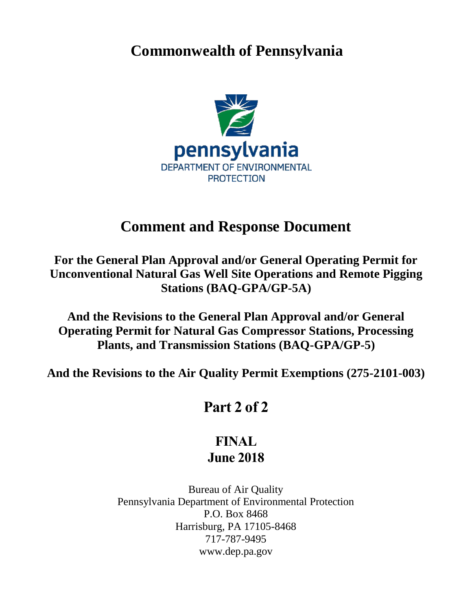# **Commonwealth of Pennsylvania**



# **Comment and Response Document**

**For the General Plan Approval and/or General Operating Permit for Unconventional Natural Gas Well Site Operations and Remote Pigging Stations (BAQ-GPA/GP-5A)**

**And the Revisions to the General Plan Approval and/or General Operating Permit for Natural Gas Compressor Stations, Processing Plants, and Transmission Stations (BAQ-GPA/GP-5)**

**And the Revisions to the Air Quality Permit Exemptions (275-2101-003)** 

# **Part 2 of 2**

# **FINAL June 2018**

Bureau of Air Quality Pennsylvania Department of Environmental Protection P.O. Box 8468 Harrisburg, PA 17105-8468 717-787-9495 www.dep.pa.gov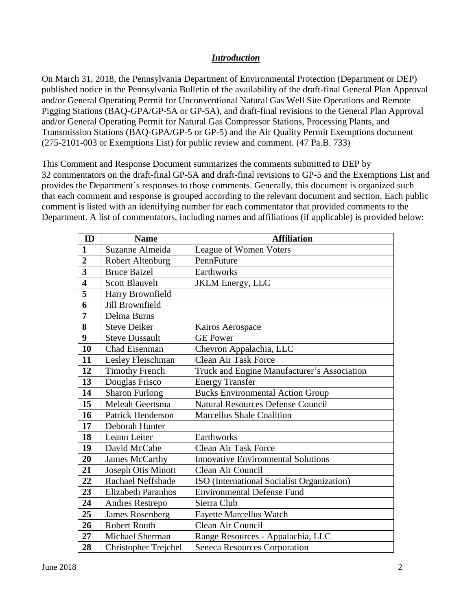#### *Introduction*

On March 31, 2018, the Pennsylvania Department of Environmental Protection (Department or DEP) published notice in the Pennsylvania Bulletin of the availability of the draft-final General Plan Approval and/or General Operating Permit for Unconventional Natural Gas Well Site Operations and Remote Pigging Stations (BAQ-GPA/GP-5A or GP-5A), and draft-final revisions to the General Plan Approval and/or General Operating Permit for Natural Gas Compressor Stations, Processing Plants, and Transmission Stations (BAQ-GPA/GP-5 or GP-5) and the Air Quality Permit Exemptions document (275-2101-003 or Exemptions List) for public review and comment. (47 [Pa.B.](http://www.pabulletin.com/secure/data/vol47/47-5/200.html) 733)

This Comment and Response Document summarizes the comments submitted to DEP by commentators on the draft-final GP-5A and draft-final revisions to GP-5 and the Exemptions List and provides the Department's responses to those comments. Generally, this document is organized such that each comment and response is grouped according to the relevant document and section. Each public comment is listed with an identifying number for each commentator that provided comments to the Department. A list of commentators, including names and affiliations (if applicable) is provided below:

| ID                      | <b>Name</b>               | <b>Affiliation</b>                          |
|-------------------------|---------------------------|---------------------------------------------|
| $\mathbf{1}$            | Suzanne Almeida           | League of Women Voters                      |
| $\overline{2}$          | Robert Altenburg          | PennFuture                                  |
| $\overline{\mathbf{3}}$ | <b>Bruce Baizel</b>       | Earthworks                                  |
| $\overline{\mathbf{4}}$ | <b>Scott Blauvelt</b>     | <b>JKLM</b> Energy, LLC                     |
| 5                       | Harry Brownfield          |                                             |
| 6                       | Jill Brownfield           |                                             |
| 7                       | Delma Burns               |                                             |
| 8                       | <b>Steve Deiker</b>       | Kairos Aerospace                            |
| 9                       | <b>Steve Dussault</b>     | <b>GE Power</b>                             |
| 10                      | Chad Eisenman             | Chevron Appalachia, LLC                     |
| 11                      | Lesley Fleischman         | <b>Clean Air Task Force</b>                 |
| 12                      | <b>Timothy French</b>     | Truck and Engine Manufacturer's Association |
| 13                      | Douglas Frisco            | <b>Energy Transfer</b>                      |
| 14                      | <b>Sharon Furlong</b>     | <b>Bucks Environmental Action Group</b>     |
| 15                      | Meleah Geertsma           | <b>Natural Resources Defense Council</b>    |
| 16                      | Patrick Henderson         | <b>Marcellus Shale Coalition</b>            |
| 17                      | Deborah Hunter            |                                             |
| 18                      | Leann Leiter              | Earthworks                                  |
| 19                      | David McCabe              | Clean Air Task Force                        |
| 20                      | James McCarthy            | <b>Innovative Environmental Solutions</b>   |
| 21                      | Joseph Otis Minott        | Clean Air Council                           |
| 22                      | <b>Rachael Neffshade</b>  | ISO (International Socialist Organization)  |
| 23                      | <b>Elizabeth Paranhos</b> | <b>Environmental Defense Fund</b>           |
| 24                      | Andres Restrepo           | Sierra Club                                 |
| 25                      | James Rosenberg           | <b>Fayette Marcellus Watch</b>              |
| 26                      | Robert Routh              | Clean Air Council                           |
| 27                      | Michael Sherman           | Range Resources - Appalachia, LLC           |
| 28                      | Christopher Trejchel      | <b>Seneca Resources Corporation</b>         |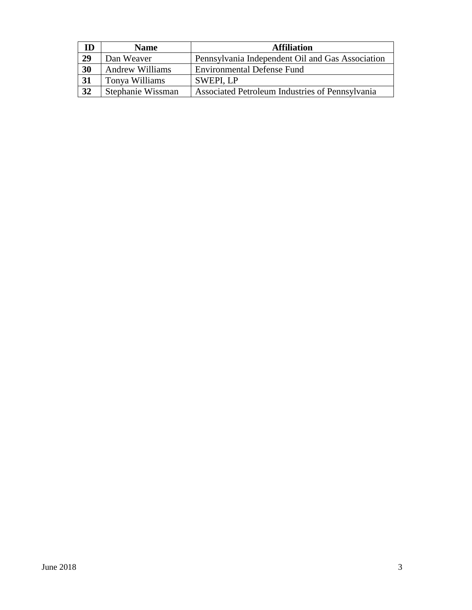| ID | <b>Name</b>            | <b>Affiliation</b>                               |
|----|------------------------|--------------------------------------------------|
| 29 | Dan Weaver             | Pennsylvania Independent Oil and Gas Association |
| 30 | <b>Andrew Williams</b> | <b>Environmental Defense Fund</b>                |
| 31 | Tonya Williams         | SWEPI, LP                                        |
| 32 | Stephanie Wissman      | Associated Petroleum Industries of Pennsylvania  |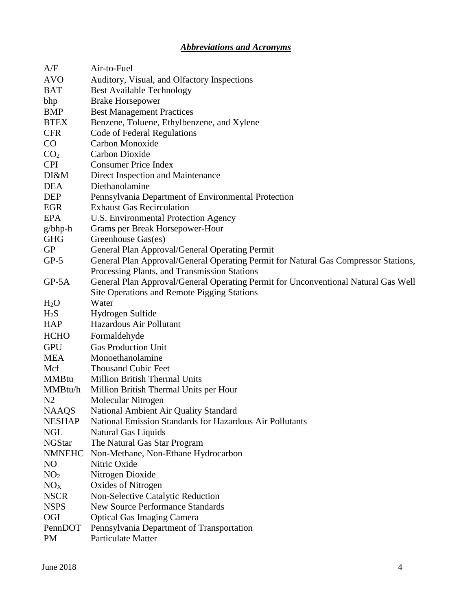## *Abbreviations and Acronyms*

| A/F              | Air-to-Fuel                                                                         |  |
|------------------|-------------------------------------------------------------------------------------|--|
| <b>AVO</b>       | Auditory, Visual, and Olfactory Inspections                                         |  |
| <b>BAT</b>       | <b>Best Available Technology</b>                                                    |  |
| bhp              | <b>Brake Horsepower</b>                                                             |  |
| <b>BMP</b>       | <b>Best Management Practices</b>                                                    |  |
| <b>BTEX</b>      | Benzene, Toluene, Ethylbenzene, and Xylene                                          |  |
| <b>CFR</b>       | Code of Federal Regulations                                                         |  |
| CO               | Carbon Monoxide                                                                     |  |
| CO <sub>2</sub>  | Carbon Dioxide                                                                      |  |
| <b>CPI</b>       | <b>Consumer Price Index</b>                                                         |  |
| DI&M             | Direct Inspection and Maintenance                                                   |  |
| <b>DEA</b>       | Diethanolamine                                                                      |  |
| <b>DEP</b>       | Pennsylvania Department of Environmental Protection                                 |  |
| <b>EGR</b>       | <b>Exhaust Gas Recirculation</b>                                                    |  |
| <b>EPA</b>       | U.S. Environmental Protection Agency                                                |  |
| g/bhp-h          | Grams per Break Horsepower-Hour                                                     |  |
| <b>GHG</b>       | Greenhouse Gas(es)                                                                  |  |
| <b>GP</b>        | General Plan Approval/General Operating Permit                                      |  |
| $GP-5$           | General Plan Approval/General Operating Permit for Natural Gas Compressor Stations, |  |
|                  | Processing Plants, and Transmission Stations                                        |  |
| $GP-5A$          | General Plan Approval/General Operating Permit for Unconventional Natural Gas Well  |  |
|                  | <b>Site Operations and Remote Pigging Stations</b>                                  |  |
| H <sub>2</sub> O | Water                                                                               |  |
| $H_2S$           | Hydrogen Sulfide                                                                    |  |
| <b>HAP</b>       | Hazardous Air Pollutant                                                             |  |
| <b>HCHO</b>      | Formaldehyde                                                                        |  |
| <b>GPU</b>       | <b>Gas Production Unit</b>                                                          |  |
| <b>MEA</b>       | Monoethanolamine                                                                    |  |
| Mcf              | <b>Thousand Cubic Feet</b>                                                          |  |
| <b>MMBtu</b>     | <b>Million British Thermal Units</b>                                                |  |
| MMBtu/h          | Million British Thermal Units per Hour                                              |  |
| N <sub>2</sub>   | Molecular Nitrogen                                                                  |  |
| <b>NAAQS</b>     | National Ambient Air Quality Standard                                               |  |
| <b>NESHAP</b>    | National Emission Standards for Hazardous Air Pollutants                            |  |
| <b>NGL</b>       | Natural Gas Liquids                                                                 |  |
| <b>NGStar</b>    | The Natural Gas Star Program                                                        |  |
| <b>NMNEHC</b>    | Non-Methane, Non-Ethane Hydrocarbon                                                 |  |
| NO               | Nitric Oxide                                                                        |  |
| NO <sub>2</sub>  | Nitrogen Dioxide                                                                    |  |
| NO <sub>X</sub>  | Oxides of Nitrogen                                                                  |  |
| <b>NSCR</b>      | Non-Selective Catalytic Reduction                                                   |  |
| <b>NSPS</b>      | <b>New Source Performance Standards</b>                                             |  |
| OGI              | <b>Optical Gas Imaging Camera</b>                                                   |  |
| PennDOT          | Pennsylvania Department of Transportation                                           |  |
| <b>PM</b>        | Particulate Matter                                                                  |  |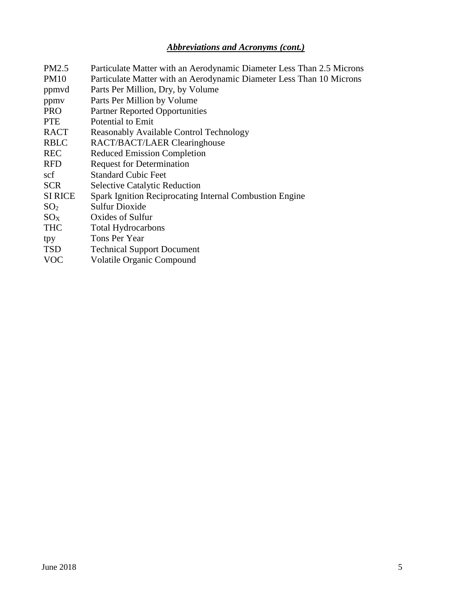## *Abbreviations and Acronyms (cont.)*

| PM2.5           | Particulate Matter with an Aerodynamic Diameter Less Than 2.5 Microns |
|-----------------|-----------------------------------------------------------------------|
| <b>PM10</b>     | Particulate Matter with an Aerodynamic Diameter Less Than 10 Microns  |
| ppmyd           | Parts Per Million, Dry, by Volume                                     |
| ppmy            | Parts Per Million by Volume                                           |
| <b>PRO</b>      | <b>Partner Reported Opportunities</b>                                 |
| <b>PTE</b>      | Potential to Emit                                                     |
| RACT            | Reasonably Available Control Technology                               |
| <b>RBLC</b>     | RACT/BACT/LAER Clearinghouse                                          |
| <b>REC</b>      | <b>Reduced Emission Completion</b>                                    |
| <b>RFD</b>      | <b>Request for Determination</b>                                      |
| scf             | <b>Standard Cubic Feet</b>                                            |
| <b>SCR</b>      | <b>Selective Catalytic Reduction</b>                                  |
| <b>SI RICE</b>  | Spark Ignition Reciprocating Internal Combustion Engine               |
| SO <sub>2</sub> | <b>Sulfur Dioxide</b>                                                 |
| $SO_{X}$        | Oxides of Sulfur                                                      |
| <b>THC</b>      | <b>Total Hydrocarbons</b>                                             |
| tpy             | Tons Per Year                                                         |
| TSD             | <b>Technical Support Document</b>                                     |
| <b>VOC</b>      | <b>Volatile Organic Compound</b>                                      |
|                 |                                                                       |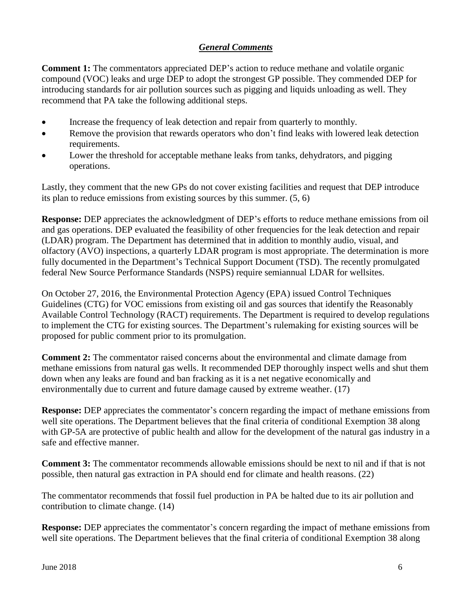#### *General Comments*

**Comment 1:** The commentators appreciated DEP's action to reduce methane and volatile organic compound (VOC) leaks and urge DEP to adopt the strongest GP possible. They commended DEP for introducing standards for air pollution sources such as pigging and liquids unloading as well. They recommend that PA take the following additional steps.

- Increase the frequency of leak detection and repair from quarterly to monthly.
- Remove the provision that rewards operators who don't find leaks with lowered leak detection requirements.
- Lower the threshold for acceptable methane leaks from tanks, dehydrators, and pigging operations.

Lastly, they comment that the new GPs do not cover existing facilities and request that DEP introduce its plan to reduce emissions from existing sources by this summer. (5, 6)

**Response:** DEP appreciates the acknowledgment of DEP's efforts to reduce methane emissions from oil and gas operations. DEP evaluated the feasibility of other frequencies for the leak detection and repair (LDAR) program. The Department has determined that in addition to monthly audio, visual, and olfactory (AVO) inspections, a quarterly LDAR program is most appropriate. The determination is more fully documented in the Department's Technical Support Document (TSD). The recently promulgated federal New Source Performance Standards (NSPS) require semiannual LDAR for wellsites.

On October 27, 2016, the Environmental Protection Agency (EPA) issued Control Techniques Guidelines (CTG) for VOC emissions from existing oil and gas sources that identify the Reasonably Available Control Technology (RACT) requirements. The Department is required to develop regulations to implement the CTG for existing sources. The Department's rulemaking for existing sources will be proposed for public comment prior to its promulgation.

**Comment 2:** The commentator raised concerns about the environmental and climate damage from methane emissions from natural gas wells. It recommended DEP thoroughly inspect wells and shut them down when any leaks are found and ban fracking as it is a net negative economically and environmentally due to current and future damage caused by extreme weather. (17)

**Response:** DEP appreciates the commentator's concern regarding the impact of methane emissions from well site operations. The Department believes that the final criteria of conditional Exemption 38 along with GP-5A are protective of public health and allow for the development of the natural gas industry in a safe and effective manner.

**Comment 3:** The commentator recommends allowable emissions should be next to nil and if that is not possible, then natural gas extraction in PA should end for climate and health reasons. (22)

The commentator recommends that fossil fuel production in PA be halted due to its air pollution and contribution to climate change. (14)

**Response:** DEP appreciates the commentator's concern regarding the impact of methane emissions from well site operations. The Department believes that the final criteria of conditional Exemption 38 along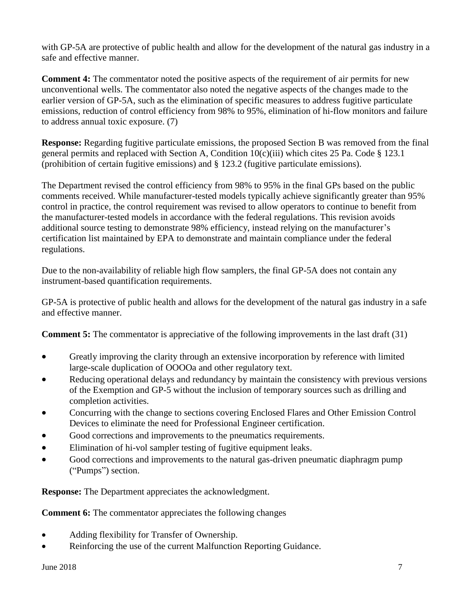with GP-5A are protective of public health and allow for the development of the natural gas industry in a safe and effective manner.

**Comment 4:** The commentator noted the positive aspects of the requirement of air permits for new unconventional wells. The commentator also noted the negative aspects of the changes made to the earlier version of GP-5A, such as the elimination of specific measures to address fugitive particulate emissions, reduction of control efficiency from 98% to 95%, elimination of hi-flow monitors and failure to address annual toxic exposure. (7)

**Response:** Regarding fugitive particulate emissions, the proposed Section B was removed from the final general permits and replaced with Section A, Condition 10(c)(iii) which cites 25 Pa. Code § 123.1 (prohibition of certain fugitive emissions) and § 123.2 (fugitive particulate emissions).

The Department revised the control efficiency from 98% to 95% in the final GPs based on the public comments received. While manufacturer-tested models typically achieve significantly greater than 95% control in practice, the control requirement was revised to allow operators to continue to benefit from the manufacturer-tested models in accordance with the federal regulations. This revision avoids additional source testing to demonstrate 98% efficiency, instead relying on the manufacturer's certification list maintained by EPA to demonstrate and maintain compliance under the federal regulations.

Due to the non-availability of reliable high flow samplers, the final GP-5A does not contain any instrument-based quantification requirements.

GP-5A is protective of public health and allows for the development of the natural gas industry in a safe and effective manner.

**Comment 5:** The commentator is appreciative of the following improvements in the last draft (31)

- Greatly improving the clarity through an extensive incorporation by reference with limited large-scale duplication of OOOOa and other regulatory text.
- Reducing operational delays and redundancy by maintain the consistency with previous versions of the Exemption and GP-5 without the inclusion of temporary sources such as drilling and completion activities.
- Concurring with the change to sections covering Enclosed Flares and Other Emission Control Devices to eliminate the need for Professional Engineer certification.
- Good corrections and improvements to the pneumatics requirements.
- Elimination of hi-vol sampler testing of fugitive equipment leaks.
- Good corrections and improvements to the natural gas-driven pneumatic diaphragm pump ("Pumps") section.

**Response:** The Department appreciates the acknowledgment.

**Comment 6:** The commentator appreciates the following changes

- Adding flexibility for Transfer of Ownership.
- Reinforcing the use of the current Malfunction Reporting Guidance.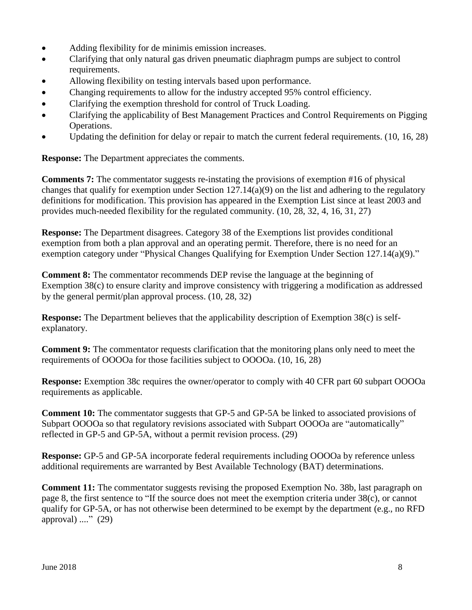- Adding flexibility for de minimis emission increases.
- Clarifying that only natural gas driven pneumatic diaphragm pumps are subject to control requirements.
- Allowing flexibility on testing intervals based upon performance.
- Changing requirements to allow for the industry accepted 95% control efficiency.
- Clarifying the exemption threshold for control of Truck Loading.
- Clarifying the applicability of Best Management Practices and Control Requirements on Pigging Operations.
- Updating the definition for delay or repair to match the current federal requirements. (10, 16, 28)

**Response:** The Department appreciates the comments.

**Comments 7:** The commentator suggests re-instating the provisions of exemption #16 of physical changes that qualify for exemption under Section 127.14(a)(9) on the list and adhering to the regulatory definitions for modification. This provision has appeared in the Exemption List since at least 2003 and provides much-needed flexibility for the regulated community. (10, 28, 32, 4, 16, 31, 27)

**Response:** The Department disagrees. Category 38 of the Exemptions list provides conditional exemption from both a plan approval and an operating permit. Therefore, there is no need for an exemption category under "Physical Changes Qualifying for Exemption Under Section 127.14(a)(9)."

**Comment 8:** The commentator recommends DEP revise the language at the beginning of Exemption 38(c) to ensure clarity and improve consistency with triggering a modification as addressed by the general permit/plan approval process. (10, 28, 32)

**Response:** The Department believes that the applicability description of Exemption 38(c) is selfexplanatory.

**Comment 9:** The commentator requests clarification that the monitoring plans only need to meet the requirements of OOOOa for those facilities subject to OOOOa. (10, 16, 28)

**Response:** Exemption 38c requires the owner/operator to comply with 40 CFR part 60 subpart OOOOa requirements as applicable.

**Comment 10:** The commentator suggests that GP-5 and GP-5A be linked to associated provisions of Subpart OOOOa so that regulatory revisions associated with Subpart OOOOa are "automatically" reflected in GP-5 and GP-5A, without a permit revision process. (29)

**Response:** GP-5 and GP-5A incorporate federal requirements including OOOOa by reference unless additional requirements are warranted by Best Available Technology (BAT) determinations.

**Comment 11:** The commentator suggests revising the proposed Exemption No. 38b, last paragraph on page 8, the first sentence to "If the source does not meet the exemption criteria under 38(c), or cannot qualify for GP-5A, or has not otherwise been determined to be exempt by the department (e.g., no RFD approval) ...." (29)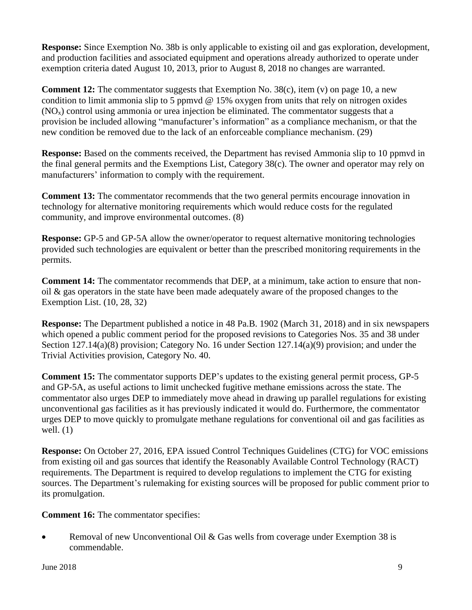**Response:** Since Exemption No. 38b is only applicable to existing oil and gas exploration, development, and production facilities and associated equipment and operations already authorized to operate under exemption criteria dated August 10, 2013, prior to August 8, 2018 no changes are warranted.

**Comment 12:** The commentator suggests that Exemption No. 38(c), item (v) on page 10, a new condition to limit ammonia slip to 5 ppmvd @ 15% oxygen from units that rely on nitrogen oxides  $(NO<sub>x</sub>)$  control using ammonia or urea injection be eliminated. The commentator suggests that a provision be included allowing "manufacturer's information" as a compliance mechanism, or that the new condition be removed due to the lack of an enforceable compliance mechanism. (29)

**Response:** Based on the comments received, the Department has revised Ammonia slip to 10 ppmvd in the final general permits and the Exemptions List, Category 38(c). The owner and operator may rely on manufacturers' information to comply with the requirement.

**Comment 13:** The commentator recommends that the two general permits encourage innovation in technology for alternative monitoring requirements which would reduce costs for the regulated community, and improve environmental outcomes. (8)

**Response:** GP-5 and GP-5A allow the owner/operator to request alternative monitoring technologies provided such technologies are equivalent or better than the prescribed monitoring requirements in the permits.

**Comment 14:** The commentator recommends that DEP, at a minimum, take action to ensure that nonoil & gas operators in the state have been made adequately aware of the proposed changes to the Exemption List. (10, 28, 32)

**Response:** The Department published a notice in 48 Pa.B. 1902 (March 31, 2018) and in six newspapers which opened a public comment period for the proposed revisions to Categories Nos. 35 and 38 under Section 127.14(a)(8) provision; Category No. 16 under Section 127.14(a)(9) provision; and under the Trivial Activities provision, Category No. 40.

**Comment 15:** The commentator supports DEP's updates to the existing general permit process, GP-5 and GP-5A, as useful actions to limit unchecked fugitive methane emissions across the state. The commentator also urges DEP to immediately move ahead in drawing up parallel regulations for existing unconventional gas facilities as it has previously indicated it would do. Furthermore, the commentator urges DEP to move quickly to promulgate methane regulations for conventional oil and gas facilities as well.  $(1)$ 

**Response:** On October 27, 2016, EPA issued Control Techniques Guidelines (CTG) for VOC emissions from existing oil and gas sources that identify the Reasonably Available Control Technology (RACT) requirements. The Department is required to develop regulations to implement the CTG for existing sources. The Department's rulemaking for existing sources will be proposed for public comment prior to its promulgation.

**Comment 16:** The commentator specifies:

Removal of new Unconventional Oil & Gas wells from coverage under Exemption 38 is commendable.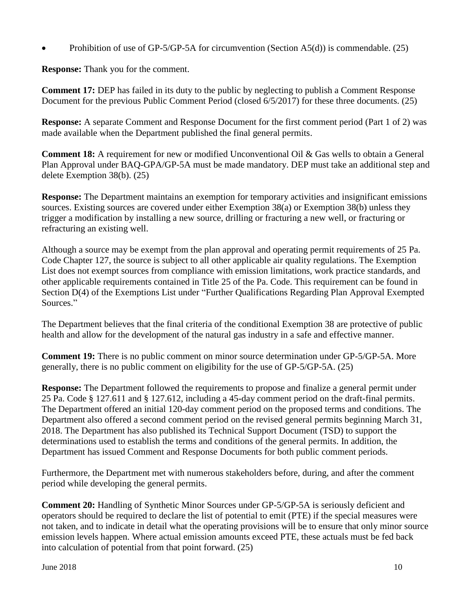• Prohibition of use of GP-5/GP-5A for circumvention (Section A5(d)) is commendable. (25)

**Response:** Thank you for the comment.

**Comment 17:** DEP has failed in its duty to the public by neglecting to publish a Comment Response Document for the previous Public Comment Period (closed 6/5/2017) for these three documents. (25)

**Response:** A separate Comment and Response Document for the first comment period (Part 1 of 2) was made available when the Department published the final general permits.

**Comment 18:** A requirement for new or modified Unconventional Oil & Gas wells to obtain a General Plan Approval under BAQ-GPA/GP-5A must be made mandatory. DEP must take an additional step and delete Exemption 38(b). (25)

**Response:** The Department maintains an exemption for temporary activities and insignificant emissions sources. Existing sources are covered under either Exemption 38(a) or Exemption 38(b) unless they trigger a modification by installing a new source, drilling or fracturing a new well, or fracturing or refracturing an existing well.

Although a source may be exempt from the plan approval and operating permit requirements of 25 Pa. Code Chapter 127, the source is subject to all other applicable air quality regulations. The Exemption List does not exempt sources from compliance with emission limitations, work practice standards, and other applicable requirements contained in Title 25 of the Pa. Code. This requirement can be found in Section D(4) of the Exemptions List under "Further Qualifications Regarding Plan Approval Exempted Sources."

The Department believes that the final criteria of the conditional Exemption 38 are protective of public health and allow for the development of the natural gas industry in a safe and effective manner.

**Comment 19:** There is no public comment on minor source determination under GP-5/GP-5A. More generally, there is no public comment on eligibility for the use of GP-5/GP-5A. (25)

**Response:** The Department followed the requirements to propose and finalize a general permit under 25 Pa. Code § 127.611 and § 127.612, including a 45-day comment period on the draft-final permits. The Department offered an initial 120-day comment period on the proposed terms and conditions. The Department also offered a second comment period on the revised general permits beginning March 31, 2018. The Department has also published its Technical Support Document (TSD) to support the determinations used to establish the terms and conditions of the general permits. In addition, the Department has issued Comment and Response Documents for both public comment periods.

Furthermore, the Department met with numerous stakeholders before, during, and after the comment period while developing the general permits.

**Comment 20:** Handling of Synthetic Minor Sources under GP-5/GP-5A is seriously deficient and operators should be required to declare the list of potential to emit (PTE) if the special measures were not taken, and to indicate in detail what the operating provisions will be to ensure that only minor source emission levels happen. Where actual emission amounts exceed PTE, these actuals must be fed back into calculation of potential from that point forward. (25)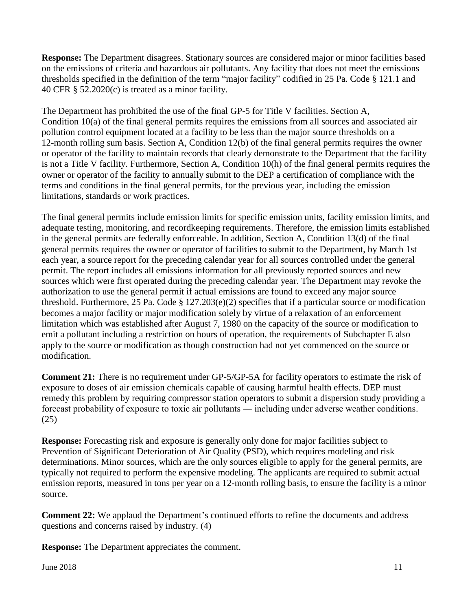**Response:** The Department disagrees. Stationary sources are considered major or minor facilities based on the emissions of criteria and hazardous air pollutants. Any facility that does not meet the emissions thresholds specified in the definition of the term "major facility" codified in 25 Pa. Code § 121.1 and 40 CFR § 52.2020(c) is treated as a minor facility.

The Department has prohibited the use of the final GP-5 for Title V facilities. Section A, Condition 10(a) of the final general permits requires the emissions from all sources and associated air pollution control equipment located at a facility to be less than the major source thresholds on a 12-month rolling sum basis. Section A, Condition 12(b) of the final general permits requires the owner or operator of the facility to maintain records that clearly demonstrate to the Department that the facility is not a Title V facility. Furthermore, Section A, Condition 10(h) of the final general permits requires the owner or operator of the facility to annually submit to the DEP a certification of compliance with the terms and conditions in the final general permits, for the previous year, including the emission limitations, standards or work practices.

The final general permits include emission limits for specific emission units, facility emission limits, and adequate testing, monitoring, and recordkeeping requirements. Therefore, the emission limits established in the general permits are federally enforceable. In addition, Section A, Condition 13(d) of the final general permits requires the owner or operator of facilities to submit to the Department, by March 1st each year, a source report for the preceding calendar year for all sources controlled under the general permit. The report includes all emissions information for all previously reported sources and new sources which were first operated during the preceding calendar year. The Department may revoke the authorization to use the general permit if actual emissions are found to exceed any major source threshold. Furthermore, 25 Pa. Code § 127.203(e)(2) specifies that if a particular source or modification becomes a major facility or major modification solely by virtue of a relaxation of an enforcement limitation which was established after August 7, 1980 on the capacity of the source or modification to emit a pollutant including a restriction on hours of operation, the requirements of Subchapter E also apply to the source or modification as though construction had not yet commenced on the source or modification.

**Comment 21:** There is no requirement under GP-5/GP-5A for facility operators to estimate the risk of exposure to doses of air emission chemicals capable of causing harmful health effects. DEP must remedy this problem by requiring compressor station operators to submit a dispersion study providing a forecast probability of exposure to toxic air pollutants ― including under adverse weather conditions. (25)

**Response:** Forecasting risk and exposure is generally only done for major facilities subject to Prevention of Significant Deterioration of Air Quality (PSD), which requires modeling and risk determinations. Minor sources, which are the only sources eligible to apply for the general permits, are typically not required to perform the expensive modeling. The applicants are required to submit actual emission reports, measured in tons per year on a 12-month rolling basis, to ensure the facility is a minor source.

**Comment 22:** We applaud the Department's continued efforts to refine the documents and address questions and concerns raised by industry. (4)

**Response:** The Department appreciates the comment.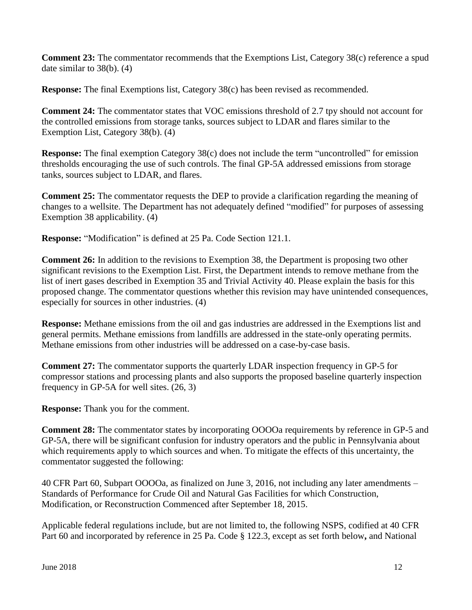**Comment 23:** The commentator recommends that the Exemptions List, Category 38(c) reference a spud date similar to 38(b). (4)

**Response:** The final Exemptions list, Category 38(c) has been revised as recommended.

**Comment 24:** The commentator states that VOC emissions threshold of 2.7 tpy should not account for the controlled emissions from storage tanks, sources subject to LDAR and flares similar to the Exemption List, Category 38(b). (4)

**Response:** The final exemption Category 38(c) does not include the term "uncontrolled" for emission thresholds encouraging the use of such controls. The final GP-5A addressed emissions from storage tanks, sources subject to LDAR, and flares.

**Comment 25:** The commentator requests the DEP to provide a clarification regarding the meaning of changes to a wellsite. The Department has not adequately defined "modified" for purposes of assessing Exemption 38 applicability. (4)

**Response:** "Modification" is defined at 25 Pa. Code Section 121.1.

**Comment 26:** In addition to the revisions to Exemption 38, the Department is proposing two other significant revisions to the Exemption List. First, the Department intends to remove methane from the list of inert gases described in Exemption 35 and Trivial Activity 40. Please explain the basis for this proposed change. The commentator questions whether this revision may have unintended consequences, especially for sources in other industries. (4)

**Response:** Methane emissions from the oil and gas industries are addressed in the Exemptions list and general permits. Methane emissions from landfills are addressed in the state-only operating permits. Methane emissions from other industries will be addressed on a case-by-case basis.

**Comment 27:** The commentator supports the quarterly LDAR inspection frequency in GP-5 for compressor stations and processing plants and also supports the proposed baseline quarterly inspection frequency in GP-5A for well sites. (26, 3)

**Response:** Thank you for the comment.

**Comment 28:** The commentator states by incorporating OOOOa requirements by reference in GP-5 and GP-5A, there will be significant confusion for industry operators and the public in Pennsylvania about which requirements apply to which sources and when. To mitigate the effects of this uncertainty, the commentator suggested the following:

40 CFR Part 60, Subpart OOOOa, as finalized on June 3, 2016, not including any later amendments – Standards of Performance for Crude Oil and Natural Gas Facilities for which Construction, Modification, or Reconstruction Commenced after September 18, 2015.

Applicable federal regulations include, but are not limited to, the following NSPS, codified at 40 CFR Part 60 and incorporated by reference in 25 Pa. Code § 122.3, except as set forth below**,** and National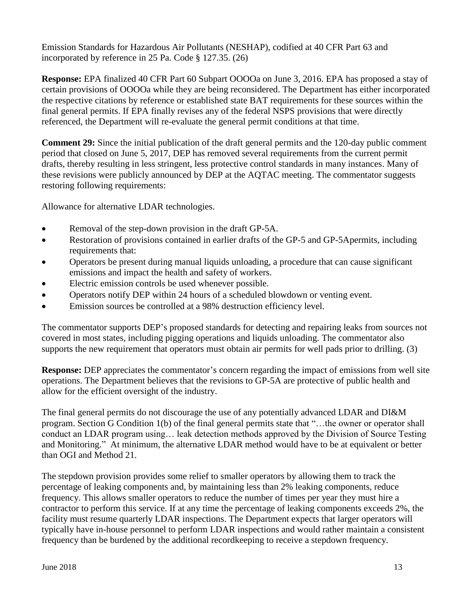Emission Standards for Hazardous Air Pollutants (NESHAP), codified at 40 CFR Part 63 and incorporated by reference in 25 Pa. Code § 127.35. (26)

**Response:** EPA finalized 40 CFR Part 60 Subpart OOOOa on June 3, 2016. EPA has proposed a stay of certain provisions of OOOOa while they are being reconsidered. The Department has either incorporated the respective citations by reference or established state BAT requirements for these sources within the final general permits. If EPA finally revises any of the federal NSPS provisions that were directly referenced, the Department will re-evaluate the general permit conditions at that time.

**Comment 29:** Since the initial publication of the draft general permits and the 120-day public comment period that closed on June 5, 2017, DEP has removed several requirements from the current permit drafts, thereby resulting in less stringent, less protective control standards in many instances. Many of these revisions were publicly announced by DEP at the AQTAC meeting. The commentator suggests restoring following requirements:

Allowance for alternative LDAR technologies.

- Removal of the step-down provision in the draft GP-5A.
- Restoration of provisions contained in earlier drafts of the GP-5 and GP-5Apermits, including requirements that:
- Operators be present during manual liquids unloading, a procedure that can cause significant emissions and impact the health and safety of workers.
- Electric emission controls be used whenever possible.
- Operators notify DEP within 24 hours of a scheduled blowdown or venting event.
- Emission sources be controlled at a 98% destruction efficiency level.

The commentator supports DEP's proposed standards for detecting and repairing leaks from sources not covered in most states, including pigging operations and liquids unloading. The commentator also supports the new requirement that operators must obtain air permits for well pads prior to drilling. (3)

**Response:** DEP appreciates the commentator's concern regarding the impact of emissions from well site operations. The Department believes that the revisions to GP-5A are protective of public health and allow for the efficient oversight of the industry.

The final general permits do not discourage the use of any potentially advanced LDAR and DI&M program. Section G Condition 1(b) of the final general permits state that "…the owner or operator shall conduct an LDAR program using… leak detection methods approved by the Division of Source Testing and Monitoring." At minimum, the alternative LDAR method would have to be at equivalent or better than OGI and Method 21.

The stepdown provision provides some relief to smaller operators by allowing them to track the percentage of leaking components and, by maintaining less than 2% leaking components, reduce frequency. This allows smaller operators to reduce the number of times per year they must hire a contractor to perform this service. If at any time the percentage of leaking components exceeds 2%, the facility must resume quarterly LDAR inspections. The Department expects that larger operators will typically have in-house personnel to perform LDAR inspections and would rather maintain a consistent frequency than be burdened by the additional recordkeeping to receive a stepdown frequency.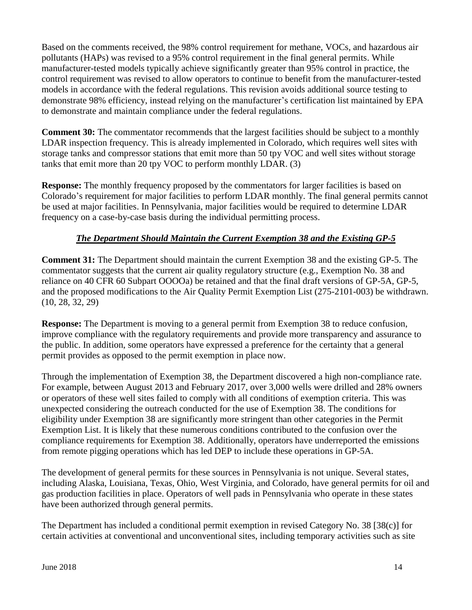Based on the comments received, the 98% control requirement for methane, VOCs, and hazardous air pollutants (HAPs) was revised to a 95% control requirement in the final general permits. While manufacturer-tested models typically achieve significantly greater than 95% control in practice, the control requirement was revised to allow operators to continue to benefit from the manufacturer-tested models in accordance with the federal regulations. This revision avoids additional source testing to demonstrate 98% efficiency, instead relying on the manufacturer's certification list maintained by EPA to demonstrate and maintain compliance under the federal regulations.

**Comment 30:** The commentator recommends that the largest facilities should be subject to a monthly LDAR inspection frequency. This is already implemented in Colorado, which requires well sites with storage tanks and compressor stations that emit more than 50 tpy VOC and well sites without storage tanks that emit more than 20 tpy VOC to perform monthly LDAR. (3)

**Response:** The monthly frequency proposed by the commentators for larger facilities is based on Colorado's requirement for major facilities to perform LDAR monthly. The final general permits cannot be used at major facilities. In Pennsylvania, major facilities would be required to determine LDAR frequency on a case-by-case basis during the individual permitting process.

# *The Department Should Maintain the Current Exemption 38 and the Existing GP-5*

**Comment 31:** The Department should maintain the current Exemption 38 and the existing GP-5. The commentator suggests that the current air quality regulatory structure (e.g., Exemption No. 38 and reliance on 40 CFR 60 Subpart OOOOa) be retained and that the final draft versions of GP-5A, GP-5, and the proposed modifications to the Air Quality Permit Exemption List (275-2101-003) be withdrawn. (10, 28, 32, 29)

**Response:** The Department is moving to a general permit from Exemption 38 to reduce confusion, improve compliance with the regulatory requirements and provide more transparency and assurance to the public. In addition, some operators have expressed a preference for the certainty that a general permit provides as opposed to the permit exemption in place now.

Through the implementation of Exemption 38, the Department discovered a high non-compliance rate. For example, between August 2013 and February 2017, over 3,000 wells were drilled and 28% owners or operators of these well sites failed to comply with all conditions of exemption criteria. This was unexpected considering the outreach conducted for the use of Exemption 38. The conditions for eligibility under Exemption 38 are significantly more stringent than other categories in the Permit Exemption List. It is likely that these numerous conditions contributed to the confusion over the compliance requirements for Exemption 38. Additionally, operators have underreported the emissions from remote pigging operations which has led DEP to include these operations in GP-5A.

The development of general permits for these sources in Pennsylvania is not unique. Several states, including Alaska, Louisiana, Texas, Ohio, West Virginia, and Colorado, have general permits for oil and gas production facilities in place. Operators of well pads in Pennsylvania who operate in these states have been authorized through general permits.

The Department has included a conditional permit exemption in revised Category No. 38 [38(c)] for certain activities at conventional and unconventional sites, including temporary activities such as site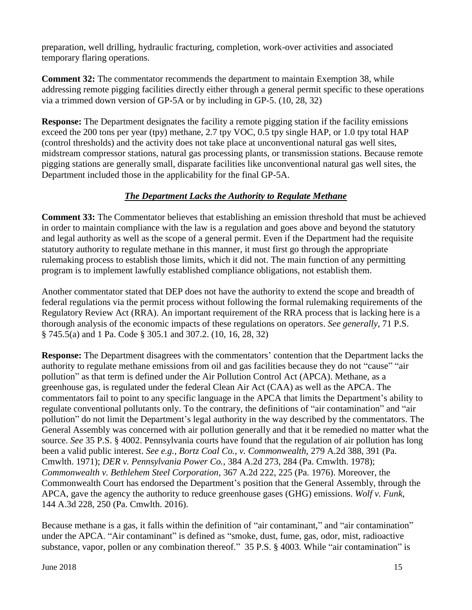preparation, well drilling, hydraulic fracturing, completion, work-over activities and associated temporary flaring operations.

**Comment 32:** The commentator recommends the department to maintain Exemption 38, while addressing remote pigging facilities directly either through a general permit specific to these operations via a trimmed down version of GP-5A or by including in GP-5. (10, 28, 32)

**Response:** The Department designates the facility a remote pigging station if the facility emissions exceed the 200 tons per year (tpy) methane, 2.7 tpy VOC, 0.5 tpy single HAP, or 1.0 tpy total HAP (control thresholds) and the activity does not take place at unconventional natural gas well sites, midstream compressor stations, natural gas processing plants, or transmission stations. Because remote pigging stations are generally small, disparate facilities like unconventional natural gas well sites, the Department included those in the applicability for the final GP-5A.

## *The Department Lacks the Authority to Regulate Methane*

**Comment 33:** The Commentator believes that establishing an emission threshold that must be achieved in order to maintain compliance with the law is a regulation and goes above and beyond the statutory and legal authority as well as the scope of a general permit. Even if the Department had the requisite statutory authority to regulate methane in this manner, it must first go through the appropriate rulemaking process to establish those limits, which it did not. The main function of any permitting program is to implement lawfully established compliance obligations, not establish them.

Another commentator stated that DEP does not have the authority to extend the scope and breadth of federal regulations via the permit process without following the formal rulemaking requirements of the Regulatory Review Act (RRA). An important requirement of the RRA process that is lacking here is a thorough analysis of the economic impacts of these regulations on operators. *See generally*, 71 P.S. § 745.5(a) and 1 Pa. Code § 305.1 and 307.2. (10, 16, 28, 32)

**Response:** The Department disagrees with the commentators' contention that the Department lacks the authority to regulate methane emissions from oil and gas facilities because they do not "cause" "air pollution" as that term is defined under the Air Pollution Control Act (APCA). Methane, as a greenhouse gas, is regulated under the federal Clean Air Act (CAA) as well as the APCA. The commentators fail to point to any specific language in the APCA that limits the Department's ability to regulate conventional pollutants only. To the contrary, the definitions of "air contamination" and "air pollution" do not limit the Department's legal authority in the way described by the commentators. The General Assembly was concerned with air pollution generally and that it be remedied no matter what the source. *See* 35 P.S. § 4002. Pennsylvania courts have found that the regulation of air pollution has long been a valid public interest. *See e.g., Bortz Coal Co., v. Commonwealth,* 279 A.2d 388, 391 (Pa. Cmwlth. 1971); *DER v. Pennsylvania Power Co.,* 384 A.2d 273, 284 (Pa. Cmwlth. 1978); *[Commonwealth v. Bethlehem Steel Corporation](https://1.next.westlaw.com/Link/Document/FullText?findType=Y&serNum=1976122478&pubNum=162&originatingDoc=I7f710953345111d9abe5ec754599669c&refType=RP&originationContext=document&transitionType=DocumentItem&contextData=(sc.Search))*, 367 A.2d 222, 225 (Pa. 1976). Moreover, the Commonwealth Court has endorsed the Department's position that the General Assembly, through the APCA, gave the agency the authority to reduce greenhouse gases (GHG) emissions. *Wolf v. Funk,*  144 A.3d 228, 250 (Pa. Cmwlth. 2016).

Because methane is a gas, it falls within the definition of "air contaminant," and "air contamination" under the APCA. "Air contaminant" is defined as "smoke, dust, fume, gas, odor, mist, radioactive substance, vapor, pollen or any combination thereof." 35 P.S. § 4003. While "air contamination" is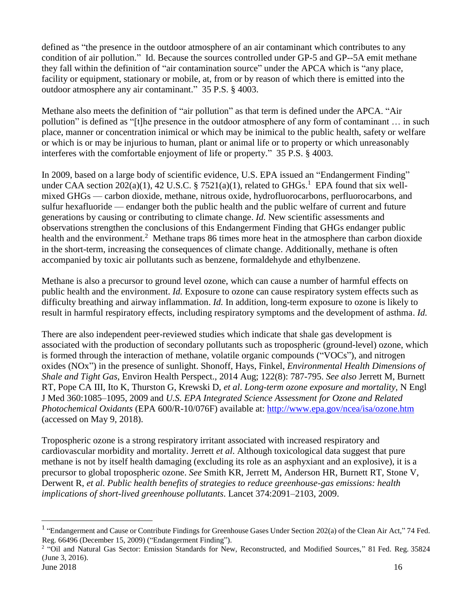defined as "the presence in the outdoor atmosphere of an air contaminant which contributes to any condition of air pollution." Id. Because the sources controlled under GP-5 and GP--5A emit methane they fall within the definition of "air contamination source" under the APCA which is "any place, facility or equipment, stationary or mobile, at, from or by reason of which there is emitted into the outdoor atmosphere any air contaminant." 35 P.S. § 4003.

Methane also meets the definition of "air pollution" as that term is defined under the APCA. "Air pollution" is defined as "[t]he presence in the outdoor atmosphere of any form of contaminant … in such place, manner or concentration inimical or which may be inimical to the public health, safety or welfare or which is or may be injurious to human, plant or animal life or to property or which unreasonably interferes with the comfortable enjoyment of life or property." 35 P.S. § 4003.

In 2009, based on a large body of scientific evidence, U.S. EPA issued an "Endangerment Finding" under CAA section  $202(a)(1)$ , 42 U.S.C. § 7521(a)(1), related to GHGs.<sup>1</sup> EPA found that six wellmixed GHGs — carbon dioxide, methane, nitrous oxide, hydrofluorocarbons, perfluorocarbons, and sulfur hexafluoride — endanger both the public health and the public welfare of current and future generations by causing or contributing to climate change. *Id.* New scientific assessments and observations strengthen the conclusions of this Endangerment Finding that GHGs endanger public health and the environment.<sup>2</sup> Methane traps 86 times more heat in the atmosphere than carbon dioxide in the short-term, increasing the consequences of climate change. Additionally, methane is often accompanied by toxic air pollutants such as benzene, formaldehyde and ethylbenzene.

Methane is also a precursor to ground level ozone, which can cause a number of harmful effects on public health and the environment. *Id.* Exposure to ozone can cause respiratory system effects such as difficulty breathing and airway inflammation. *Id.* In addition, long-term exposure to ozone is likely to result in harmful respiratory effects, including respiratory symptoms and the development of asthma. *Id.* 

There are also independent peer-reviewed studies which indicate that shale gas development is associated with the production of secondary pollutants such as tropospheric (ground-level) ozone, which is formed through the interaction of methane, volatile organic compounds ("VOCs"), and nitrogen oxides (NOx") in the presence of sunlight. Shonoff, Hays, Finkel, *Environmental Health Dimensions of Shale and Tight Gas*, Environ Health Perspect., 2014 Aug; 122(8): 787-795. *See also* Jerrett M, Burnett RT, Pope CA III, Ito K, Thurston G, Krewski D, *et al*. *Long-term ozone exposure and mortality,* N Engl J Med 360:1085–1095, 2009 and *U.S. EPA Integrated Science Assessment for Ozone and Related Photochemical Oxidants* (EPA 600/R-10/076F) available at:<http://www.epa.gov/ncea/isa/ozone.htm> (accessed on May 9, 2018).

Tropospheric ozone is a strong respiratory irritant associated with increased respiratory and cardiovascular morbidity and mortality. Jerrett *et al*. Although toxicological data suggest that pure methane is not by itself health damaging (excluding its role as an asphyxiant and an explosive), it is a precursor to global tropospheric ozone. *See* Smith KR, Jerrett M, Anderson HR, Burnett RT, Stone V, Derwent R, *et al. Public health benefits of strategies to reduce greenhouse-gas emissions: health implications of short-lived greenhouse pollutants*. Lancet 374:2091–2103, 2009.

l

<sup>&</sup>lt;sup>1</sup> "Endangerment and Cause or Contribute Findings for Greenhouse Gases Under Section 202(a) of the Clean Air Act," 74 Fed. Reg. 66496 (December 15, 2009) ("Endangerment Finding").

June  $2018$  16 <sup>2</sup> "Oil and Natural Gas Sector: Emission Standards for New, Reconstructed, and Modified Sources," 81 Fed. Reg. 35824 (June 3, 2016).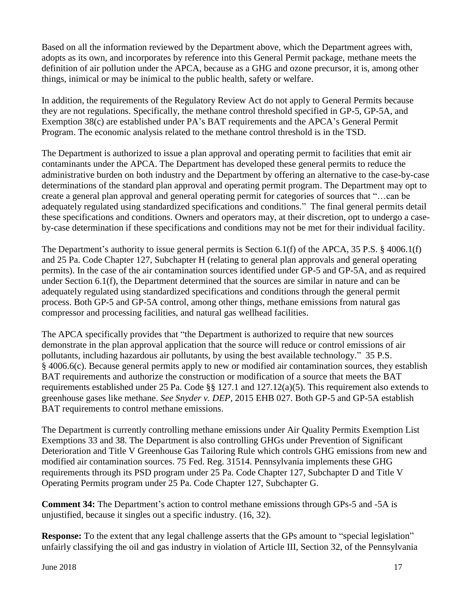Based on all the information reviewed by the Department above, which the Department agrees with, adopts as its own, and incorporates by reference into this General Permit package, methane meets the definition of air pollution under the APCA, because as a GHG and ozone precursor, it is, among other things, inimical or may be inimical to the public health, safety or welfare.

In addition, the requirements of the Regulatory Review Act do not apply to General Permits because they are not regulations. Specifically, the methane control threshold specified in GP-5, GP-5A, and Exemption 38(c) are established under PA's BAT requirements and the APCA's General Permit Program. The economic analysis related to the methane control threshold is in the TSD.

The Department is authorized to issue a plan approval and operating permit to facilities that emit air contaminants under the APCA. The Department has developed these general permits to reduce the administrative burden on both industry and the Department by offering an alternative to the case-by-case determinations of the standard plan approval and operating permit program. The Department may opt to create a general plan approval and general operating permit for categories of sources that "…can be adequately regulated using standardized specifications and conditions." The final general permits detail these specifications and conditions. Owners and operators may, at their discretion, opt to undergo a caseby-case determination if these specifications and conditions may not be met for their individual facility.

The Department's authority to issue general permits is Section 6.1(f) of the APCA, 35 P.S. § 4006.1(f) and 25 Pa. Code Chapter 127, Subchapter H (relating to general plan approvals and general operating permits). In the case of the air contamination sources identified under GP-5 and GP-5A, and as required under Section 6.1(f), the Department determined that the sources are similar in nature and can be adequately regulated using standardized specifications and conditions through the general permit process. Both GP-5 and GP-5A control, among other things, methane emissions from natural gas compressor and processing facilities, and natural gas wellhead facilities.

The APCA specifically provides that "the Department is authorized to require that new sources demonstrate in the plan approval application that the source will reduce or control emissions of air pollutants, including hazardous air pollutants, by using the best available technology." 35 P.S. § 4006.6(c). Because general permits apply to new or modified air contamination sources, they establish BAT requirements and authorize the construction or modification of a source that meets the BAT requirements established under 25 Pa. Code §§ 127.1 and 127.12(a)(5). This requirement also extends to greenhouse gases like methane. *See Snyder v. DEP*, 2015 EHB 027. Both GP-5 and GP-5A establish BAT requirements to control methane emissions.

The Department is currently controlling methane emissions under Air Quality Permits Exemption List Exemptions 33 and 38. The Department is also controlling GHGs under Prevention of Significant Deterioration and Title V Greenhouse Gas Tailoring Rule which controls GHG emissions from new and modified air contamination sources. 75 Fed. Reg. 31514. Pennsylvania implements these GHG requirements through its PSD program under 25 Pa. Code Chapter 127, Subchapter D and Title V Operating Permits program under 25 Pa. Code Chapter 127, Subchapter G.

**Comment 34:** The Department's action to control methane emissions through GPs-5 and -5A is unjustified, because it singles out a specific industry. (16, 32).

**Response:** To the extent that any legal challenge asserts that the GPs amount to "special legislation" unfairly classifying the oil and gas industry in violation of Article III, Section 32, of the Pennsylvania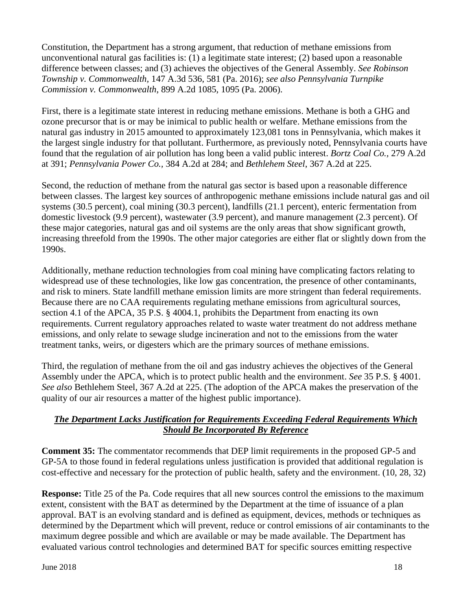Constitution, the Department has a strong argument, that reduction of methane emissions from unconventional natural gas facilities is: (1) a legitimate state interest; (2) based upon a reasonable difference between classes; and (3) achieves the objectives of the General Assembly. *See Robinson Township v. Commonwealth,* 147 A.3d 536, 581 (Pa. 2016); *see also Pennsylvania Turnpike Commission v. Commonwealth*, 899 A.2d 1085, 1095 (Pa. 2006).

First, there is a legitimate state interest in reducing methane emissions. Methane is both a GHG and ozone precursor that is or may be inimical to public health or welfare. Methane emissions from the natural gas industry in 2015 amounted to approximately 123,081 tons in Pennsylvania, which makes it the largest single industry for that pollutant. Furthermore, as previously noted, Pennsylvania courts have found that the regulation of air pollution has long been a valid public interest. *Bortz Coal Co.,* 279 A.2d at 391; *Pennsylvania Power Co.,* 384 A.2d at 284; and *[Bethlehem Steel](https://1.next.westlaw.com/Link/Document/FullText?findType=Y&serNum=1976122478&pubNum=162&originatingDoc=I7f710953345111d9abe5ec754599669c&refType=RP&originationContext=document&transitionType=DocumentItem&contextData=(sc.Search))*, 367 A.2d at 225.

Second, the reduction of methane from the natural gas sector is based upon a reasonable difference between classes. The largest key sources of anthropogenic methane emissions include natural gas and oil systems (30.5 percent), coal mining (30.3 percent), landfills (21.1 percent), enteric fermentation from domestic livestock (9.9 percent), wastewater (3.9 percent), and manure management (2.3 percent). Of these major categories, natural gas and oil systems are the only areas that show significant growth, increasing threefold from the 1990s. The other major categories are either flat or slightly down from the 1990s.

Additionally, methane reduction technologies from coal mining have complicating factors relating to widespread use of these technologies, like low gas concentration, the presence of other contaminants, and risk to miners. State landfill methane emission limits are more stringent than federal requirements. Because there are no CAA requirements regulating methane emissions from agricultural sources, section 4.1 of the APCA, 35 P.S. § 4004.1, prohibits the Department from enacting its own requirements. Current regulatory approaches related to waste water treatment do not address methane emissions, and only relate to sewage sludge incineration and not to the emissions from the water treatment tanks, weirs, or digesters which are the primary sources of methane emissions.

Third, the regulation of methane from the oil and gas industry achieves the objectives of the General Assembly under the APCA, which is to protect public health and the environment. *See* 35 P.S. § 4001. *See also* Bethlehem Steel, 367 A.2d at 225. (The adoption of the APCA makes the preservation of the quality of our air resources a matter of the highest public importance).

#### *The Department Lacks Justification for Requirements Exceeding Federal Requirements Which Should Be Incorporated By Reference*

**Comment 35:** The commentator recommends that DEP limit requirements in the proposed GP-5 and GP-5A to those found in federal regulations unless justification is provided that additional regulation is cost-effective and necessary for the protection of public health, safety and the environment. (10, 28, 32)

**Response:** Title 25 of the Pa. Code requires that all new sources control the emissions to the maximum extent, consistent with the BAT as determined by the Department at the time of issuance of a plan approval. BAT is an evolving standard and is defined as equipment, devices, methods or techniques as determined by the Department which will prevent, reduce or control emissions of air contaminants to the maximum degree possible and which are available or may be made available. The Department has evaluated various control technologies and determined BAT for specific sources emitting respective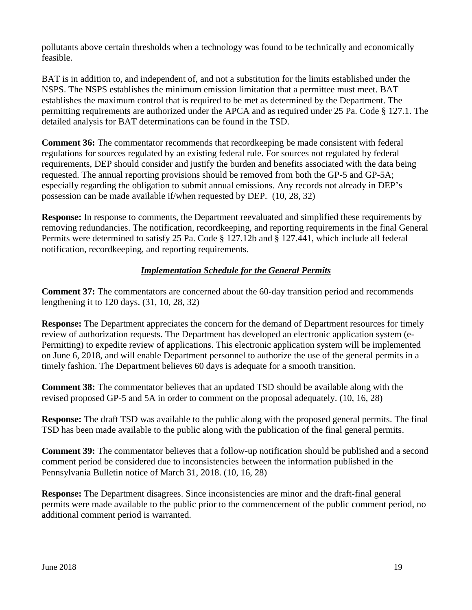pollutants above certain thresholds when a technology was found to be technically and economically feasible.

BAT is in addition to, and independent of, and not a substitution for the limits established under the NSPS. The NSPS establishes the minimum emission limitation that a permittee must meet. BAT establishes the maximum control that is required to be met as determined by the Department. The permitting requirements are authorized under the APCA and as required under 25 Pa. Code § 127.1. The detailed analysis for BAT determinations can be found in the TSD.

**Comment 36:** The commentator recommends that recordkeeping be made consistent with federal regulations for sources regulated by an existing federal rule. For sources not regulated by federal requirements, DEP should consider and justify the burden and benefits associated with the data being requested. The annual reporting provisions should be removed from both the GP-5 and GP-5A; especially regarding the obligation to submit annual emissions. Any records not already in DEP's possession can be made available if/when requested by DEP. (10, 28, 32)

**Response:** In response to comments, the Department reevaluated and simplified these requirements by removing redundancies. The notification, recordkeeping, and reporting requirements in the final General Permits were determined to satisfy 25 Pa. Code § 127.12b and § 127.441, which include all federal notification, recordkeeping, and reporting requirements.

## *Implementation Schedule for the General Permits*

**Comment 37:** The commentators are concerned about the 60-day transition period and recommends lengthening it to 120 days. (31, 10, 28, 32)

**Response:** The Department appreciates the concern for the demand of Department resources for timely review of authorization requests. The Department has developed an electronic application system (e-Permitting) to expedite review of applications. This electronic application system will be implemented on June 6, 2018, and will enable Department personnel to authorize the use of the general permits in a timely fashion. The Department believes 60 days is adequate for a smooth transition.

**Comment 38:** The commentator believes that an updated TSD should be available along with the revised proposed GP-5 and 5A in order to comment on the proposal adequately. (10, 16, 28)

**Response:** The draft TSD was available to the public along with the proposed general permits. The final TSD has been made available to the public along with the publication of the final general permits.

**Comment 39:** The commentator believes that a follow-up notification should be published and a second comment period be considered due to inconsistencies between the information published in the Pennsylvania Bulletin notice of March 31, 2018. (10, 16, 28)

**Response:** The Department disagrees. Since inconsistencies are minor and the draft-final general permits were made available to the public prior to the commencement of the public comment period, no additional comment period is warranted.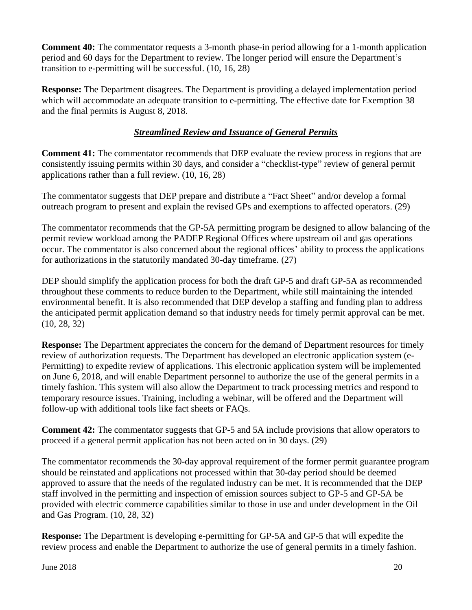**Comment 40:** The commentator requests a 3-month phase-in period allowing for a 1-month application period and 60 days for the Department to review. The longer period will ensure the Department's transition to e-permitting will be successful. (10, 16, 28)

**Response:** The Department disagrees. The Department is providing a delayed implementation period which will accommodate an adequate transition to e-permitting. The effective date for Exemption 38 and the final permits is August 8, 2018.

# *Streamlined Review and Issuance of General Permits*

**Comment 41:** The commentator recommends that DEP evaluate the review process in regions that are consistently issuing permits within 30 days, and consider a "checklist-type" review of general permit applications rather than a full review. (10, 16, 28)

The commentator suggests that DEP prepare and distribute a "Fact Sheet" and/or develop a formal outreach program to present and explain the revised GPs and exemptions to affected operators. (29)

The commentator recommends that the GP-5A permitting program be designed to allow balancing of the permit review workload among the PADEP Regional Offices where upstream oil and gas operations occur. The commentator is also concerned about the regional offices' ability to process the applications for authorizations in the statutorily mandated 30-day timeframe. (27)

DEP should simplify the application process for both the draft GP-5 and draft GP-5A as recommended throughout these comments to reduce burden to the Department, while still maintaining the intended environmental benefit. It is also recommended that DEP develop a staffing and funding plan to address the anticipated permit application demand so that industry needs for timely permit approval can be met. (10, 28, 32)

**Response:** The Department appreciates the concern for the demand of Department resources for timely review of authorization requests. The Department has developed an electronic application system (e-Permitting) to expedite review of applications. This electronic application system will be implemented on June 6, 2018, and will enable Department personnel to authorize the use of the general permits in a timely fashion. This system will also allow the Department to track processing metrics and respond to temporary resource issues. Training, including a webinar, will be offered and the Department will follow-up with additional tools like fact sheets or FAQs.

**Comment 42:** The commentator suggests that GP-5 and 5A include provisions that allow operators to proceed if a general permit application has not been acted on in 30 days. (29)

The commentator recommends the 30-day approval requirement of the former permit guarantee program should be reinstated and applications not processed within that 30-day period should be deemed approved to assure that the needs of the regulated industry can be met. It is recommended that the DEP staff involved in the permitting and inspection of emission sources subject to GP-5 and GP-5A be provided with electric commerce capabilities similar to those in use and under development in the Oil and Gas Program. (10, 28, 32)

**Response:** The Department is developing e-permitting for GP-5A and GP-5 that will expedite the review process and enable the Department to authorize the use of general permits in a timely fashion.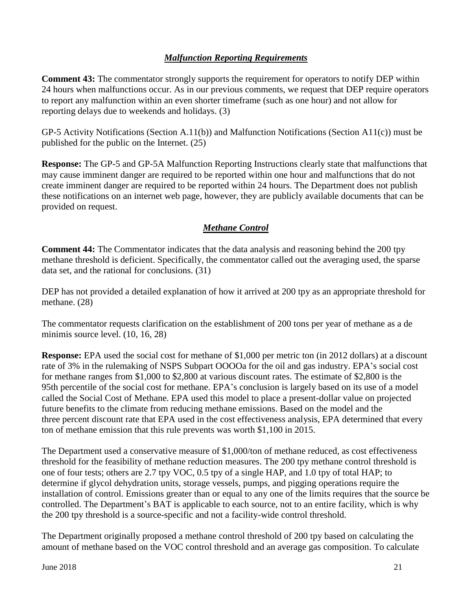## *Malfunction Reporting Requirements*

**Comment 43:** The commentator strongly supports the requirement for operators to notify DEP within 24 hours when malfunctions occur. As in our previous comments, we request that DEP require operators to report any malfunction within an even shorter timeframe (such as one hour) and not allow for reporting delays due to weekends and holidays. (3)

GP-5 Activity Notifications (Section A.11(b)) and Malfunction Notifications (Section A11(c)) must be published for the public on the Internet. (25)

**Response:** The GP-5 and GP-5A Malfunction Reporting Instructions clearly state that malfunctions that may cause imminent danger are required to be reported within one hour and malfunctions that do not create imminent danger are required to be reported within 24 hours. The Department does not publish these notifications on an internet web page, however, they are publicly available documents that can be provided on request.

## *Methane Control*

**Comment 44:** The Commentator indicates that the data analysis and reasoning behind the 200 tpy methane threshold is deficient. Specifically, the commentator called out the averaging used, the sparse data set, and the rational for conclusions. (31)

DEP has not provided a detailed explanation of how it arrived at 200 tpy as an appropriate threshold for methane. (28)

The commentator requests clarification on the establishment of 200 tons per year of methane as a de minimis source level.  $(10, 16, 28)$ 

**Response:** EPA used the social cost for methane of \$1,000 per metric ton (in 2012 dollars) at a discount rate of 3% in the rulemaking of NSPS Subpart OOOOa for the oil and gas industry. EPA's social cost for methane ranges from \$1,000 to \$2,800 at various discount rates. The estimate of \$2,800 is the 95th percentile of the social cost for methane. EPA's conclusion is largely based on its use of a model called the Social Cost of Methane. EPA used this model to place a present-dollar value on projected future benefits to the climate from reducing methane emissions. Based on the model and the three percent discount rate that EPA used in the cost effectiveness analysis, EPA determined that every ton of methane emission that this rule prevents was worth \$1,100 in 2015.

The Department used a conservative measure of \$1,000/ton of methane reduced, as cost effectiveness threshold for the feasibility of methane reduction measures. The 200 tpy methane control threshold is one of four tests; others are 2.7 tpy VOC, 0.5 tpy of a single HAP, and 1.0 tpy of total HAP; to determine if glycol dehydration units, storage vessels, pumps, and pigging operations require the installation of control. Emissions greater than or equal to any one of the limits requires that the source be controlled. The Department's BAT is applicable to each source, not to an entire facility, which is why the 200 tpy threshold is a source-specific and not a facility-wide control threshold.

The Department originally proposed a methane control threshold of 200 tpy based on calculating the amount of methane based on the VOC control threshold and an average gas composition. To calculate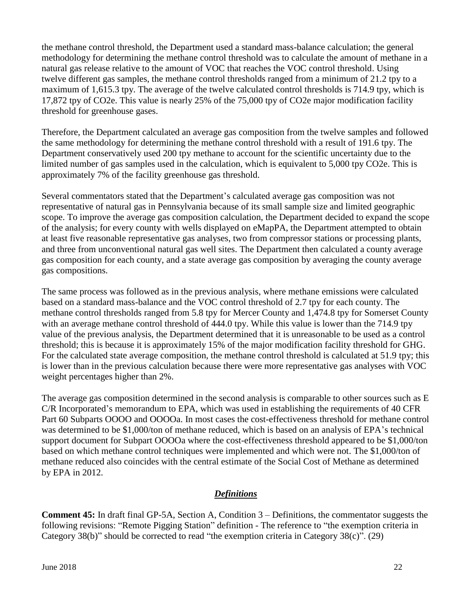the methane control threshold, the Department used a standard mass-balance calculation; the general methodology for determining the methane control threshold was to calculate the amount of methane in a natural gas release relative to the amount of VOC that reaches the VOC control threshold. Using twelve different gas samples, the methane control thresholds ranged from a minimum of 21.2 tpy to a maximum of 1,615.3 tpy. The average of the twelve calculated control thresholds is 714.9 tpy, which is 17,872 tpy of CO2e. This value is nearly 25% of the 75,000 tpy of CO2e major modification facility threshold for greenhouse gases.

Therefore, the Department calculated an average gas composition from the twelve samples and followed the same methodology for determining the methane control threshold with a result of 191.6 tpy. The Department conservatively used 200 tpy methane to account for the scientific uncertainty due to the limited number of gas samples used in the calculation, which is equivalent to 5,000 tpy CO2e. This is approximately 7% of the facility greenhouse gas threshold.

Several commentators stated that the Department's calculated average gas composition was not representative of natural gas in Pennsylvania because of its small sample size and limited geographic scope. To improve the average gas composition calculation, the Department decided to expand the scope of the analysis; for every county with wells displayed on eMapPA, the Department attempted to obtain at least five reasonable representative gas analyses, two from compressor stations or processing plants, and three from unconventional natural gas well sites. The Department then calculated a county average gas composition for each county, and a state average gas composition by averaging the county average gas compositions.

The same process was followed as in the previous analysis, where methane emissions were calculated based on a standard mass-balance and the VOC control threshold of 2.7 tpy for each county. The methane control thresholds ranged from 5.8 tpy for Mercer County and 1,474.8 tpy for Somerset County with an average methane control threshold of 444.0 tpy. While this value is lower than the 714.9 tpy value of the previous analysis, the Department determined that it is unreasonable to be used as a control threshold; this is because it is approximately 15% of the major modification facility threshold for GHG. For the calculated state average composition, the methane control threshold is calculated at 51.9 tpy; this is lower than in the previous calculation because there were more representative gas analyses with VOC weight percentages higher than 2%.

The average gas composition determined in the second analysis is comparable to other sources such as E C/R Incorporated's memorandum to EPA, which was used in establishing the requirements of 40 CFR Part 60 Subparts OOOO and OOOOa. In most cases the cost-effectiveness threshold for methane control was determined to be \$1,000/ton of methane reduced, which is based on an analysis of EPA's technical support document for Subpart OOOOa where the cost-effectiveness threshold appeared to be \$1,000/ton based on which methane control techniques were implemented and which were not. The \$1,000/ton of methane reduced also coincides with the central estimate of the Social Cost of Methane as determined by EPA in 2012.

# *Definitions*

**Comment 45:** In draft final GP-5A, Section A, Condition 3 – Definitions, the commentator suggests the following revisions: "Remote Pigging Station" definition - The reference to "the exemption criteria in Category 38(b)" should be corrected to read "the exemption criteria in Category 38(c)". (29)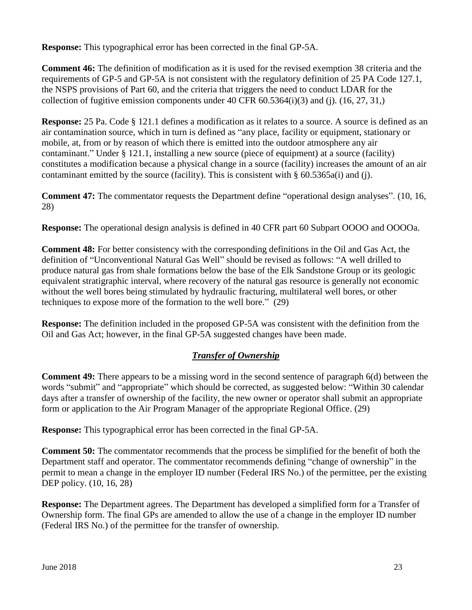**Response:** This typographical error has been corrected in the final GP-5A.

**Comment 46:** The definition of modification as it is used for the revised exemption 38 criteria and the requirements of GP-5 and GP-5A is not consistent with the regulatory definition of 25 PA Code 127.1, the NSPS provisions of Part 60, and the criteria that triggers the need to conduct LDAR for the collection of fugitive emission components under  $40 \text{ CFR } 60.5364(i)(3)$  and (j). (16, 27, 31,)

**Response:** 25 Pa. Code § 121.1 defines a modification as it relates to a source. A source is defined as an air contamination source, which in turn is defined as "any place, facility or equipment, stationary or mobile, at, from or by reason of which there is emitted into the outdoor atmosphere any air contaminant." Under § 121.1, installing a new source (piece of equipment) at a source (facility) constitutes a modification because a physical change in a source (facility) increases the amount of an air contaminant emitted by the source (facility). This is consistent with § 60.5365a(i) and (j).

**Comment 47:** The commentator requests the Department define "operational design analyses". (10, 16, 28)

**Response:** The operational design analysis is defined in 40 CFR part 60 Subpart OOOO and OOOOa.

**Comment 48:** For better consistency with the corresponding definitions in the Oil and Gas Act, the definition of "Unconventional Natural Gas Well" should be revised as follows: "A well drilled to produce natural gas from shale formations below the base of the Elk Sandstone Group or its geologic equivalent stratigraphic interval, where recovery of the natural gas resource is generally not economic without the well bores being stimulated by hydraulic fracturing, multilateral well bores, or other techniques to expose more of the formation to the well bore." (29)

**Response:** The definition included in the proposed GP-5A was consistent with the definition from the Oil and Gas Act; however, in the final GP-5A suggested changes have been made.

# *Transfer of Ownership*

**Comment 49:** There appears to be a missing word in the second sentence of paragraph 6(d) between the words "submit" and "appropriate" which should be corrected, as suggested below: "Within 30 calendar days after a transfer of ownership of the facility, the new owner or operator shall submit an appropriate form or application to the Air Program Manager of the appropriate Regional Office. (29)

**Response:** This typographical error has been corrected in the final GP-5A.

**Comment 50:** The commentator recommends that the process be simplified for the benefit of both the Department staff and operator. The commentator recommends defining "change of ownership" in the permit to mean a change in the employer ID number (Federal IRS No.) of the permittee, per the existing DEP policy. (10, 16, 28)

**Response:** The Department agrees. The Department has developed a simplified form for a Transfer of Ownership form. The final GPs are amended to allow the use of a change in the employer ID number (Federal IRS No.) of the permittee for the transfer of ownership.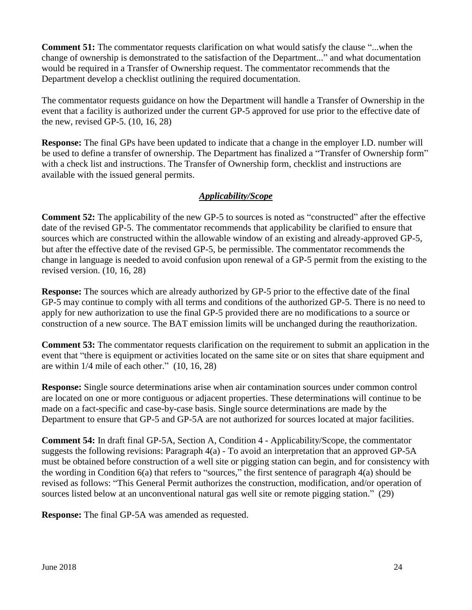**Comment 51:** The commentator requests clarification on what would satisfy the clause "...when the change of ownership is demonstrated to the satisfaction of the Department..." and what documentation would be required in a Transfer of Ownership request. The commentator recommends that the Department develop a checklist outlining the required documentation.

The commentator requests guidance on how the Department will handle a Transfer of Ownership in the event that a facility is authorized under the current GP-5 approved for use prior to the effective date of the new, revised GP-5. (10, 16, 28)

**Response:** The final GPs have been updated to indicate that a change in the employer I.D. number will be used to define a transfer of ownership. The Department has finalized a "Transfer of Ownership form" with a check list and instructions. The Transfer of Ownership form, checklist and instructions are available with the issued general permits.

#### *Applicability/Scope*

**Comment 52:** The applicability of the new GP-5 to sources is noted as "constructed" after the effective date of the revised GP-5. The commentator recommends that applicability be clarified to ensure that sources which are constructed within the allowable window of an existing and already-approved GP-5, but after the effective date of the revised GP-5, be permissible. The commentator recommends the change in language is needed to avoid confusion upon renewal of a GP-5 permit from the existing to the revised version. (10, 16, 28)

**Response:** The sources which are already authorized by GP-5 prior to the effective date of the final GP-5 may continue to comply with all terms and conditions of the authorized GP-5. There is no need to apply for new authorization to use the final GP-5 provided there are no modifications to a source or construction of a new source. The BAT emission limits will be unchanged during the reauthorization.

**Comment 53:** The commentator requests clarification on the requirement to submit an application in the event that "there is equipment or activities located on the same site or on sites that share equipment and are within 1/4 mile of each other." (10, 16, 28)

**Response:** Single source determinations arise when air contamination sources under common control are located on one or more contiguous or adjacent properties. These determinations will continue to be made on a fact-specific and case-by-case basis. Single source determinations are made by the Department to ensure that GP-5 and GP-5A are not authorized for sources located at major facilities.

**Comment 54:** In draft final GP-5A, Section A, Condition 4 - Applicability/Scope, the commentator suggests the following revisions: Paragraph 4(a) - To avoid an interpretation that an approved GP-5A must be obtained before construction of a well site or pigging station can begin, and for consistency with the wording in Condition 6(a) that refers to "sources," the first sentence of paragraph 4(a) should be revised as follows: "This General Permit authorizes the construction, modification, and/or operation of sources listed below at an unconventional natural gas well site or remote pigging station." (29)

**Response:** The final GP-5A was amended as requested.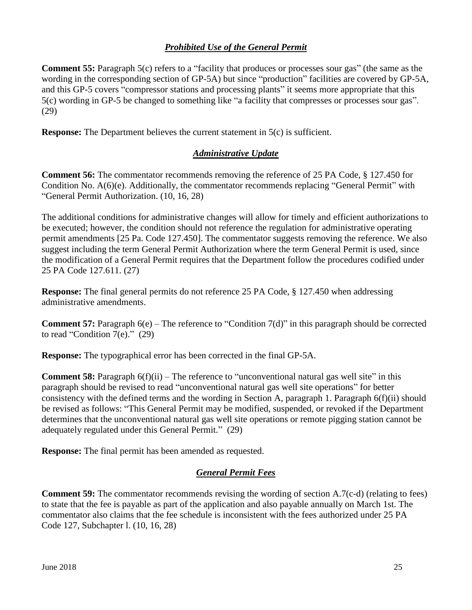## *Prohibited Use of the General Permit*

**Comment 55:** Paragraph 5(c) refers to a "facility that produces or processes sour gas" (the same as the wording in the corresponding section of GP-5A) but since "production" facilities are covered by GP-5A, and this GP-5 covers "compressor stations and processing plants" it seems more appropriate that this 5(c) wording in GP-5 be changed to something like "a facility that compresses or processes sour gas". (29)

**Response:** The Department believes the current statement in 5(c) is sufficient.

#### *Administrative Update*

**Comment 56:** The commentator recommends removing the reference of 25 PA Code, § 127.450 for Condition No. A(6)(e). Additionally, the commentator recommends replacing "General Permit" with "General Permit Authorization. (10, 16, 28)

The additional conditions for administrative changes will allow for timely and efficient authorizations to be executed; however, the condition should not reference the regulation for administrative operating permit amendments [25 Pa. Code 127.450]. The commentator suggests removing the reference. We also suggest including the term General Permit Authorization where the term General Permit is used, since the modification of a General Permit requires that the Department follow the procedures codified under 25 PA Code 127.611. (27)

**Response:** The final general permits do not reference 25 PA Code, § 127.450 when addressing administrative amendments.

**Comment 57:** Paragraph 6(e) – The reference to "Condition 7(d)" in this paragraph should be corrected to read "Condition 7(e)."  $(29)$ 

**Response:** The typographical error has been corrected in the final GP-5A.

**Comment 58:** Paragraph  $6(f)(ii)$  – The reference to "unconventional natural gas well site" in this paragraph should be revised to read "unconventional natural gas well site operations" for better consistency with the defined terms and the wording in Section A, paragraph 1. Paragraph 6(f)(ii) should be revised as follows: "This General Permit may be modified, suspended, or revoked if the Department determines that the unconventional natural gas well site operations or remote pigging station cannot be adequately regulated under this General Permit." (29)

**Response:** The final permit has been amended as requested.

#### *General Permit Fees*

**Comment 59:** The commentator recommends revising the wording of section A.7(c-d) (relating to fees) to state that the fee is payable as part of the application and also payable annually on March 1st. The commentator also claims that the fee schedule is inconsistent with the fees authorized under 25 PA Code 127, Subchapter l. (10, 16, 28)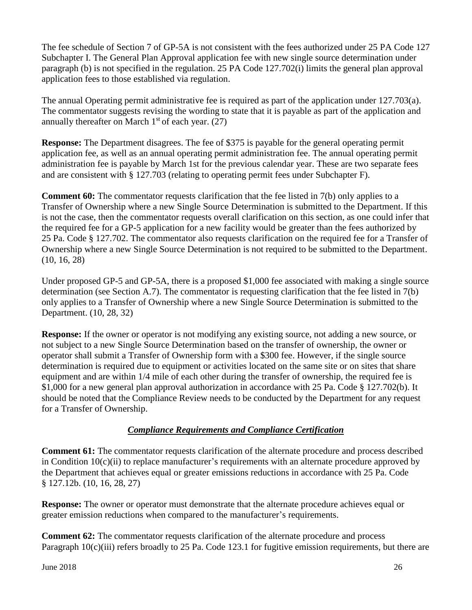The fee schedule of Section 7 of GP-5A is not consistent with the fees authorized under 25 PA Code 127 Subchapter I. The General Plan Approval application fee with new single source determination under paragraph (b) is not specified in the regulation. 25 PA Code 127.702(i) limits the general plan approval application fees to those established via regulation.

The annual Operating permit administrative fee is required as part of the application under 127.703(a). The commentator suggests revising the wording to state that it is payable as part of the application and annually thereafter on March  $1<sup>st</sup>$  of each year. (27)

**Response:** The Department disagrees. The fee of \$375 is payable for the general operating permit application fee, as well as an annual operating permit administration fee. The annual operating permit administration fee is payable by March 1st for the previous calendar year. These are two separate fees and are consistent with § 127.703 (relating to operating permit fees under Subchapter F).

**Comment 60:** The commentator requests clarification that the fee listed in 7(b) only applies to a Transfer of Ownership where a new Single Source Determination is submitted to the Department. If this is not the case, then the commentator requests overall clarification on this section, as one could infer that the required fee for a GP-5 application for a new facility would be greater than the fees authorized by 25 Pa. Code § 127.702. The commentator also requests clarification on the required fee for a Transfer of Ownership where a new Single Source Determination is not required to be submitted to the Department. (10, 16, 28)

Under proposed GP-5 and GP-5A, there is a proposed \$1,000 fee associated with making a single source determination (see Section A.7). The commentator is requesting clarification that the fee listed in 7(b) only applies to a Transfer of Ownership where a new Single Source Determination is submitted to the Department. (10, 28, 32)

**Response:** If the owner or operator is not modifying any existing source, not adding a new source, or not subject to a new Single Source Determination based on the transfer of ownership, the owner or operator shall submit a Transfer of Ownership form with a \$300 fee. However, if the single source determination is required due to equipment or activities located on the same site or on sites that share equipment and are within 1/4 mile of each other during the transfer of ownership, the required fee is \$1,000 for a new general plan approval authorization in accordance with 25 Pa. Code § 127.702(b). It should be noted that the Compliance Review needs to be conducted by the Department for any request for a Transfer of Ownership.

#### *Compliance Requirements and Compliance Certification*

**Comment 61:** The commentator requests clarification of the alternate procedure and process described in Condition 10(c)(ii) to replace manufacturer's requirements with an alternate procedure approved by the Department that achieves equal or greater emissions reductions in accordance with 25 Pa. Code § 127.12b. (10, 16, 28, 27)

**Response:** The owner or operator must demonstrate that the alternate procedure achieves equal or greater emission reductions when compared to the manufacturer's requirements.

**Comment 62:** The commentator requests clarification of the alternate procedure and process Paragraph 10(c)(iii) refers broadly to 25 Pa. Code 123.1 for fugitive emission requirements, but there are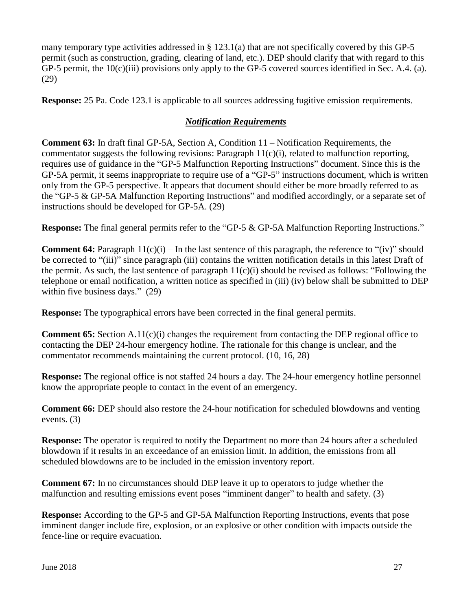many temporary type activities addressed in  $\S$  123.1(a) that are not specifically covered by this GP-5 permit (such as construction, grading, clearing of land, etc.). DEP should clarify that with regard to this GP-5 permit, the  $10(c)$ (iii) provisions only apply to the GP-5 covered sources identified in Sec. A.4. (a). (29)

**Response:** 25 Pa. Code 123.1 is applicable to all sources addressing fugitive emission requirements.

#### *Notification Requirements*

**Comment 63:** In draft final GP-5A, Section A, Condition 11 – Notification Requirements, the commentator suggests the following revisions: Paragraph 11(c)(i), related to malfunction reporting, requires use of guidance in the "GP-5 Malfunction Reporting Instructions" document. Since this is the GP-5A permit, it seems inappropriate to require use of a "GP-5" instructions document, which is written only from the GP-5 perspective. It appears that document should either be more broadly referred to as the "GP-5 & GP-5A Malfunction Reporting Instructions" and modified accordingly, or a separate set of instructions should be developed for GP-5A. (29)

**Response:** The final general permits refer to the "GP-5 & GP-5A Malfunction Reporting Instructions."

**Comment 64:** Paragraph  $11(c)(i)$  – In the last sentence of this paragraph, the reference to "(iv)" should be corrected to "(iii)" since paragraph (iii) contains the written notification details in this latest Draft of the permit. As such, the last sentence of paragraph  $11(c)(i)$  should be revised as follows: "Following the telephone or email notification, a written notice as specified in (iii) (iv) below shall be submitted to DEP within five business days." (29)

**Response:** The typographical errors have been corrected in the final general permits.

**Comment 65:** Section A.11(c)(i) changes the requirement from contacting the DEP regional office to contacting the DEP 24-hour emergency hotline. The rationale for this change is unclear, and the commentator recommends maintaining the current protocol. (10, 16, 28)

**Response:** The regional office is not staffed 24 hours a day. The 24-hour emergency hotline personnel know the appropriate people to contact in the event of an emergency.

**Comment 66:** DEP should also restore the 24-hour notification for scheduled blowdowns and venting events. (3)

**Response:** The operator is required to notify the Department no more than 24 hours after a scheduled blowdown if it results in an exceedance of an emission limit. In addition, the emissions from all scheduled blowdowns are to be included in the emission inventory report.

**Comment 67:** In no circumstances should DEP leave it up to operators to judge whether the malfunction and resulting emissions event poses "imminent danger" to health and safety. (3)

**Response:** According to the GP-5 and GP-5A Malfunction Reporting Instructions, events that pose imminent danger include fire, explosion, or an explosive or other condition with impacts outside the fence-line or require evacuation.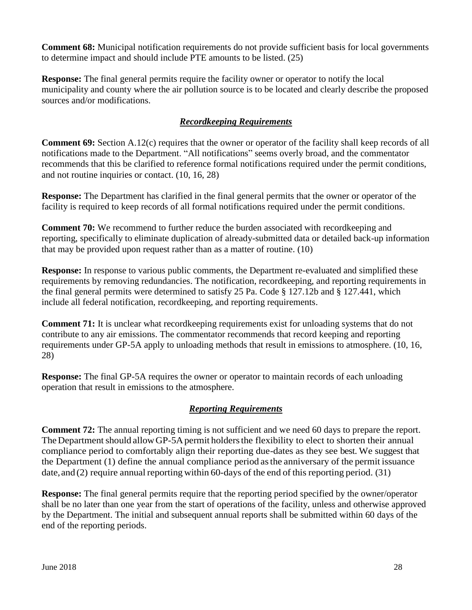**Comment 68:** Municipal notification requirements do not provide sufficient basis for local governments to determine impact and should include PTE amounts to be listed. (25)

**Response:** The final general permits require the facility owner or operator to notify the local municipality and county where the air pollution source is to be located and clearly describe the proposed sources and/or modifications.

# *Recordkeeping Requirements*

**Comment 69:** Section A.12(c) requires that the owner or operator of the facility shall keep records of all notifications made to the Department. "All notifications" seems overly broad, and the commentator recommends that this be clarified to reference formal notifications required under the permit conditions, and not routine inquiries or contact. (10, 16, 28)

**Response:** The Department has clarified in the final general permits that the owner or operator of the facility is required to keep records of all formal notifications required under the permit conditions.

**Comment 70:** We recommend to further reduce the burden associated with recordkeeping and reporting, specifically to eliminate duplication of already-submitted data or detailed back-up information that may be provided upon request rather than as a matter of routine. (10)

**Response:** In response to various public comments, the Department re-evaluated and simplified these requirements by removing redundancies. The notification, recordkeeping, and reporting requirements in the final general permits were determined to satisfy 25 Pa. Code § 127.12b and § 127.441, which include all federal notification, recordkeeping, and reporting requirements.

**Comment 71:** It is unclear what recordkeeping requirements exist for unloading systems that do not contribute to any air emissions. The commentator recommends that record keeping and reporting requirements under GP-5A apply to unloading methods that result in emissions to atmosphere. (10, 16, 28)

**Response:** The final GP-5A requires the owner or operator to maintain records of each unloading operation that result in emissions to the atmosphere.

#### *Reporting Requirements*

**Comment 72:** The annual reporting timing is not sufficient and we need 60 days to prepare the report. The Department should allow GP-5A permit holders the flexibility to elect to shorten their annual compliance period to comfortably align their reporting due-dates as they see best. We suggest that the Department (1) define the annual compliance period asthe anniversary of the permit issuance date, and  $(2)$  require annual reporting within 60-days of the end of this reporting period.  $(31)$ 

**Response:** The final general permits require that the reporting period specified by the owner/operator shall be no later than one year from the start of operations of the facility, unless and otherwise approved by the Department. The initial and subsequent annual reports shall be submitted within 60 days of the end of the reporting periods.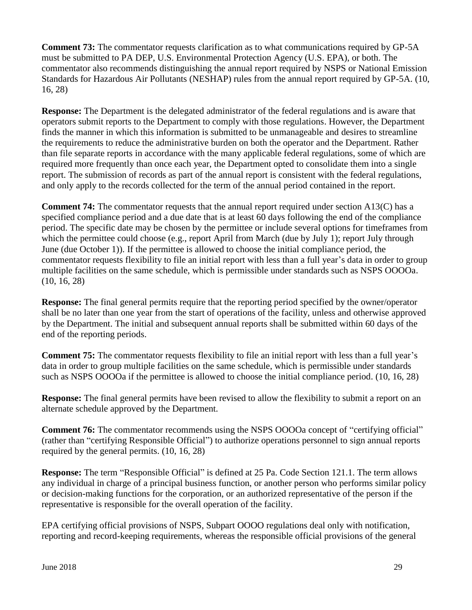**Comment 73:** The commentator requests clarification as to what communications required by GP-5A must be submitted to PA DEP, U.S. Environmental Protection Agency (U.S. EPA), or both. The commentator also recommends distinguishing the annual report required by NSPS or National Emission Standards for Hazardous Air Pollutants (NESHAP) rules from the annual report required by GP-5A. (10, 16, 28)

**Response:** The Department is the delegated administrator of the federal regulations and is aware that operators submit reports to the Department to comply with those regulations. However, the Department finds the manner in which this information is submitted to be unmanageable and desires to streamline the requirements to reduce the administrative burden on both the operator and the Department. Rather than file separate reports in accordance with the many applicable federal regulations, some of which are required more frequently than once each year, the Department opted to consolidate them into a single report. The submission of records as part of the annual report is consistent with the federal regulations, and only apply to the records collected for the term of the annual period contained in the report.

**Comment 74:** The commentator requests that the annual report required under section A13(C) has a specified compliance period and a due date that is at least 60 days following the end of the compliance period. The specific date may be chosen by the permittee or include several options for timeframes from which the permittee could choose (e.g., report April from March (due by July 1); report July through June (due October 1)). If the permittee is allowed to choose the initial compliance period, the commentator requests flexibility to file an initial report with less than a full year's data in order to group multiple facilities on the same schedule, which is permissible under standards such as NSPS OOOOa. (10, 16, 28)

**Response:** The final general permits require that the reporting period specified by the owner/operator shall be no later than one year from the start of operations of the facility, unless and otherwise approved by the Department. The initial and subsequent annual reports shall be submitted within 60 days of the end of the reporting periods.

**Comment 75:** The commentator requests flexibility to file an initial report with less than a full year's data in order to group multiple facilities on the same schedule, which is permissible under standards such as NSPS OOOOa if the permittee is allowed to choose the initial compliance period. (10, 16, 28)

**Response:** The final general permits have been revised to allow the flexibility to submit a report on an alternate schedule approved by the Department.

**Comment 76:** The commentator recommends using the NSPS OOOOa concept of "certifying official" (rather than "certifying Responsible Official") to authorize operations personnel to sign annual reports required by the general permits. (10, 16, 28)

**Response:** The term "Responsible Official" is defined at 25 Pa. Code Section 121.1. The term allows any individual in charge of a principal business function, or another person who performs similar policy or decision-making functions for the corporation, or an authorized representative of the person if the representative is responsible for the overall operation of the facility.

EPA certifying official provisions of NSPS, Subpart OOOO regulations deal only with notification, reporting and record-keeping requirements, whereas the responsible official provisions of the general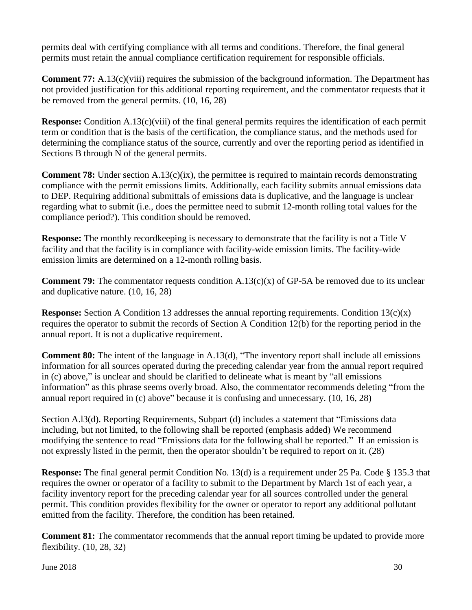permits deal with certifying compliance with all terms and conditions. Therefore, the final general permits must retain the annual compliance certification requirement for responsible officials.

**Comment 77:** A.13(c)(viii) requires the submission of the background information. The Department has not provided justification for this additional reporting requirement, and the commentator requests that it be removed from the general permits. (10, 16, 28)

**Response:** Condition A.13(c)(viii) of the final general permits requires the identification of each permit term or condition that is the basis of the certification, the compliance status, and the methods used for determining the compliance status of the source, currently and over the reporting period as identified in Sections B through N of the general permits.

**Comment 78:** Under section A.13(c)(ix), the permittee is required to maintain records demonstrating compliance with the permit emissions limits. Additionally, each facility submits annual emissions data to DEP. Requiring additional submittals of emissions data is duplicative, and the language is unclear regarding what to submit (i.e., does the permittee need to submit 12-month rolling total values for the compliance period?). This condition should be removed.

**Response:** The monthly recordkeeping is necessary to demonstrate that the facility is not a Title V facility and that the facility is in compliance with facility-wide emission limits. The facility-wide emission limits are determined on a 12-month rolling basis.

**Comment 79:** The commentator requests condition  $A.13(c)(x)$  of GP-5A be removed due to its unclear and duplicative nature. (10, 16, 28)

**Response:** Section A Condition 13 addresses the annual reporting requirements. Condition 13(c)(x) requires the operator to submit the records of Section A Condition 12(b) for the reporting period in the annual report. It is not a duplicative requirement.

**Comment 80:** The intent of the language in A.13(d), "The inventory report shall include all emissions information for all sources operated during the preceding calendar year from the annual report required in (c) above," is unclear and should be clarified to delineate what is meant by "all emissions information" as this phrase seems overly broad. Also, the commentator recommends deleting "from the annual report required in (c) above" because it is confusing and unnecessary. (10, 16, 28)

Section A.l3(d). Reporting Requirements, Subpart (d) includes a statement that "Emissions data including, but not limited, to the following shall be reported (emphasis added) We recommend modifying the sentence to read "Emissions data for the following shall be reported." If an emission is not expressly listed in the permit, then the operator shouldn't be required to report on it. (28)

**Response:** The final general permit Condition No. 13(d) is a requirement under 25 Pa. Code § 135.3 that requires the owner or operator of a facility to submit to the Department by March 1st of each year, a facility inventory report for the preceding calendar year for all sources controlled under the general permit. This condition provides flexibility for the owner or operator to report any additional pollutant emitted from the facility. Therefore, the condition has been retained.

**Comment 81:** The commentator recommends that the annual report timing be updated to provide more flexibility. (10, 28, 32)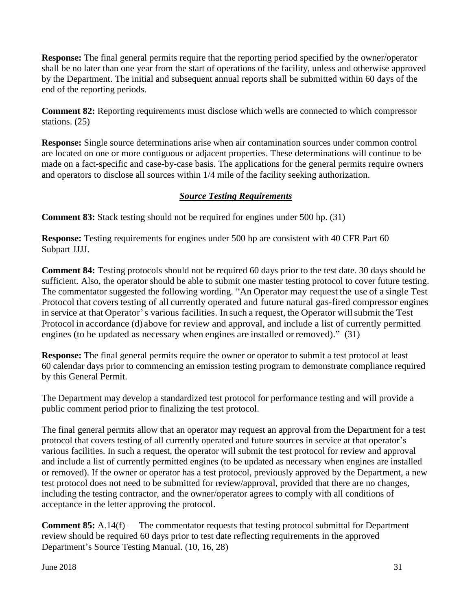**Response:** The final general permits require that the reporting period specified by the owner/operator shall be no later than one year from the start of operations of the facility, unless and otherwise approved by the Department. The initial and subsequent annual reports shall be submitted within 60 days of the end of the reporting periods.

**Comment 82:** Reporting requirements must disclose which wells are connected to which compressor stations. (25)

**Response:** Single source determinations arise when air contamination sources under common control are located on one or more contiguous or adjacent properties. These determinations will continue to be made on a fact-specific and case-by-case basis. The applications for the general permits require owners and operators to disclose all sources within 1/4 mile of the facility seeking authorization.

## *Source Testing Requirements*

**Comment 83:** Stack testing should not be required for engines under 500 hp. (31)

**Response:** Testing requirements for engines under 500 hp are consistent with 40 CFR Part 60 Subpart JJJJ.

**Comment 84:** Testing protocols should not be required 60 days prior to the test date. 30 days should be sufficient. Also, the operator should be able to submit one master testing protocol to cover future testing. The commentator suggested the following wording. "An Operator may request the use of a single Test Protocol that covers testing of all currently operated and future natural gas-fired compressor engines in service at that Operator's various facilities. In such a request, the Operator willsubmit the Test Protocol in accordance (d) above for review and approval, and include a list of currently permitted engines (to be updated as necessary when engines are installed orremoved)." (31)

**Response:** The final general permits require the owner or operator to submit a test protocol at least 60 calendar days prior to commencing an emission testing program to demonstrate compliance required by this General Permit.

The Department may develop a standardized test protocol for performance testing and will provide a public comment period prior to finalizing the test protocol.

The final general permits allow that an operator may request an approval from the Department for a test protocol that covers testing of all currently operated and future sources in service at that operator's various facilities. In such a request, the operator will submit the test protocol for review and approval and include a list of currently permitted engines (to be updated as necessary when engines are installed or removed). If the owner or operator has a test protocol, previously approved by the Department, a new test protocol does not need to be submitted for review/approval, provided that there are no changes, including the testing contractor, and the owner/operator agrees to comply with all conditions of acceptance in the letter approving the protocol.

**Comment 85:** A.14(f) — The commentator requests that testing protocol submittal for Department review should be required 60 days prior to test date reflecting requirements in the approved Department's Source Testing Manual. (10, 16, 28)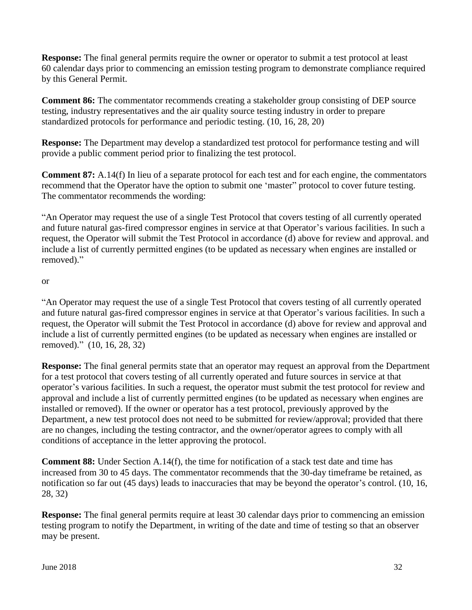**Response:** The final general permits require the owner or operator to submit a test protocol at least 60 calendar days prior to commencing an emission testing program to demonstrate compliance required by this General Permit.

**Comment 86:** The commentator recommends creating a stakeholder group consisting of DEP source testing, industry representatives and the air quality source testing industry in order to prepare standardized protocols for performance and periodic testing. (10, 16, 28, 20)

**Response:** The Department may develop a standardized test protocol for performance testing and will provide a public comment period prior to finalizing the test protocol.

**Comment 87:** A.14(f) In lieu of a separate protocol for each test and for each engine, the commentators recommend that the Operator have the option to submit one 'master" protocol to cover future testing. The commentator recommends the wording:

"An Operator may request the use of a single Test Protocol that covers testing of all currently operated and future natural gas-fired compressor engines in service at that Operator's various facilities. In such a request, the Operator will submit the Test Protocol in accordance (d) above for review and approval. and include a list of currently permitted engines (to be updated as necessary when engines are installed or removed)."

or

"An Operator may request the use of a single Test Protocol that covers testing of all currently operated and future natural gas-fired compressor engines in service at that Operator's various facilities. In such a request, the Operator will submit the Test Protocol in accordance (d) above for review and approval and include a list of currently permitted engines (to be updated as necessary when engines are installed or removed)." (10, 16, 28, 32)

**Response:** The final general permits state that an operator may request an approval from the Department for a test protocol that covers testing of all currently operated and future sources in service at that operator's various facilities. In such a request, the operator must submit the test protocol for review and approval and include a list of currently permitted engines (to be updated as necessary when engines are installed or removed). If the owner or operator has a test protocol, previously approved by the Department, a new test protocol does not need to be submitted for review/approval; provided that there are no changes, including the testing contractor, and the owner/operator agrees to comply with all conditions of acceptance in the letter approving the protocol.

**Comment 88:** Under Section A.14(f), the time for notification of a stack test date and time has increased from 30 to 45 days. The commentator recommends that the 30-day timeframe be retained, as notification so far out (45 days) leads to inaccuracies that may be beyond the operator's control. (10, 16, 28, 32)

**Response:** The final general permits require at least 30 calendar days prior to commencing an emission testing program to notify the Department, in writing of the date and time of testing so that an observer may be present.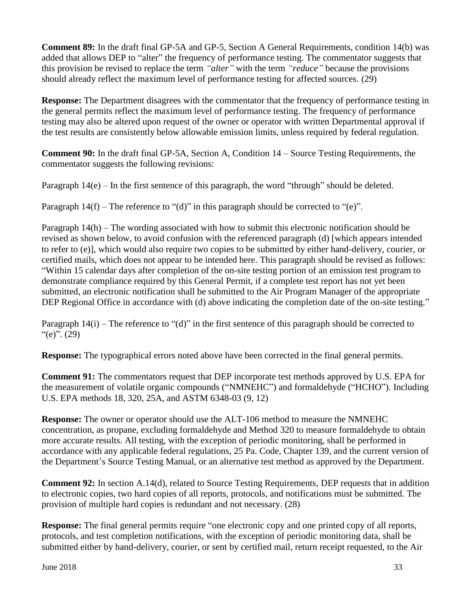**Comment 89:** In the draft final GP-5A and GP-5, Section A General Requirements, condition 14(b) was added that allows DEP to "alter" the frequency of performance testing. The commentator suggests that this provision be revised to replace the term *"alter"* with the term *"reduce"* because the provisions should already reflect the maximum level of performance testing for affected sources. (29)

**Response:** The Department disagrees with the commentator that the frequency of performance testing in the general permits reflect the maximum level of performance testing. The frequency of performance testing may also be altered upon request of the owner or operator with written Departmental approval if the test results are consistently below allowable emission limits, unless required by federal regulation.

**Comment 90:** In the draft final GP-5A, Section A, Condition 14 – Source Testing Requirements, the commentator suggests the following revisions:

Paragraph  $14(e)$  – In the first sentence of this paragraph, the word "through" should be deleted.

Paragraph  $14(f)$  – The reference to "(d)" in this paragraph should be corrected to "(e)".

Paragraph 14(h) – The wording associated with how to submit this electronic notification should be revised as shown below, to avoid confusion with the referenced paragraph (d) [which appears intended to refer to (e)], which would also require two copies to be submitted by either hand-delivery, courier, or certified mails, which does not appear to be intended here. This paragraph should be revised as follows: "Within 15 calendar days after completion of the on-site testing portion of an emission test program to demonstrate compliance required by this General Permit, if a complete test report has not yet been submitted, an electronic notification shall be submitted to the Air Program Manager of the appropriate DEP Regional Office in accordance with (d) above indicating the completion date of the on-site testing."

Paragraph  $14(i)$  – The reference to "(d)" in the first sentence of this paragraph should be corrected to  $(e)$ ". (29)

**Response:** The typographical errors noted above have been corrected in the final general permits.

**Comment 91:** The commentators request that DEP incorporate test methods approved by U.S. EPA for the measurement of volatile organic compounds ("NMNEHC") and formaldehyde ("HCHO"). Including U.S. EPA methods 18, 320, 25A, and ASTM 6348-03 (9, 12)

**Response:** The owner or operator should use the ALT-106 method to measure the NMNEHC concentration, as propane, excluding formaldehyde and Method 320 to measure formaldehyde to obtain more accurate results. All testing, with the exception of periodic monitoring, shall be performed in accordance with any applicable federal regulations, 25 Pa. Code, Chapter 139, and the current version of the Department's Source Testing Manual, or an alternative test method as approved by the Department.

**Comment 92:** In section A.14(d), related to Source Testing Requirements, DEP requests that in addition to electronic copies, two hard copies of all reports, protocols, and notifications must be submitted. The provision of multiple hard copies is redundant and not necessary. (28)

**Response:** The final general permits require "one electronic copy and one printed copy of all reports, protocols, and test completion notifications, with the exception of periodic monitoring data, shall be submitted either by hand-delivery, courier, or sent by certified mail, return receipt requested, to the Air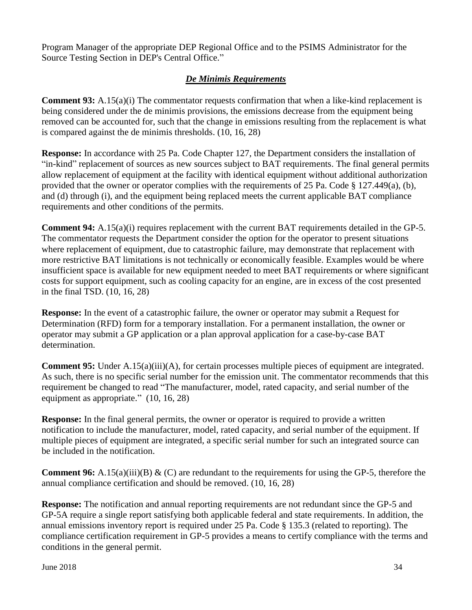Program Manager of the appropriate DEP Regional Office and to the PSIMS Administrator for the Source Testing Section in DEP's Central Office."

# *De Minimis Requirements*

**Comment 93:** A.15(a)(i) The commentator requests confirmation that when a like-kind replacement is being considered under the de minimis provisions, the emissions decrease from the equipment being removed can be accounted for, such that the change in emissions resulting from the replacement is what is compared against the de minimis thresholds. (10, 16, 28)

**Response:** In accordance with 25 Pa. Code Chapter 127, the Department considers the installation of "in-kind" replacement of sources as new sources subject to BAT requirements. The final general permits allow replacement of equipment at the facility with identical equipment without additional authorization provided that the owner or operator complies with the requirements of 25 Pa. Code § 127.449(a), (b), and (d) through (i), and the equipment being replaced meets the current applicable BAT compliance requirements and other conditions of the permits.

**Comment 94:** A.15(a)(i) requires replacement with the current BAT requirements detailed in the GP-5. The commentator requests the Department consider the option for the operator to present situations where replacement of equipment, due to catastrophic failure, may demonstrate that replacement with more restrictive BAT limitations is not technically or economically feasible. Examples would be where insufficient space is available for new equipment needed to meet BAT requirements or where significant costs for support equipment, such as cooling capacity for an engine, are in excess of the cost presented in the final TSD. (10, 16, 28)

**Response:** In the event of a catastrophic failure, the owner or operator may submit a Request for Determination (RFD) form for a temporary installation. For a permanent installation, the owner or operator may submit a GP application or a plan approval application for a case-by-case BAT determination.

**Comment 95:** Under A.15(a)(iii)(A), for certain processes multiple pieces of equipment are integrated. As such, there is no specific serial number for the emission unit. The commentator recommends that this requirement be changed to read "The manufacturer, model, rated capacity, and serial number of the equipment as appropriate." (10, 16, 28)

**Response:** In the final general permits, the owner or operator is required to provide a written notification to include the manufacturer, model, rated capacity, and serial number of the equipment. If multiple pieces of equipment are integrated, a specific serial number for such an integrated source can be included in the notification.

**Comment 96:** A.15(a)(iii)(B) & (C) are redundant to the requirements for using the GP-5, therefore the annual compliance certification and should be removed. (10, 16, 28)

**Response:** The notification and annual reporting requirements are not redundant since the GP-5 and GP-5A require a single report satisfying both applicable federal and state requirements. In addition, the annual emissions inventory report is required under 25 Pa. Code § 135.3 (related to reporting). The compliance certification requirement in GP-5 provides a means to certify compliance with the terms and conditions in the general permit.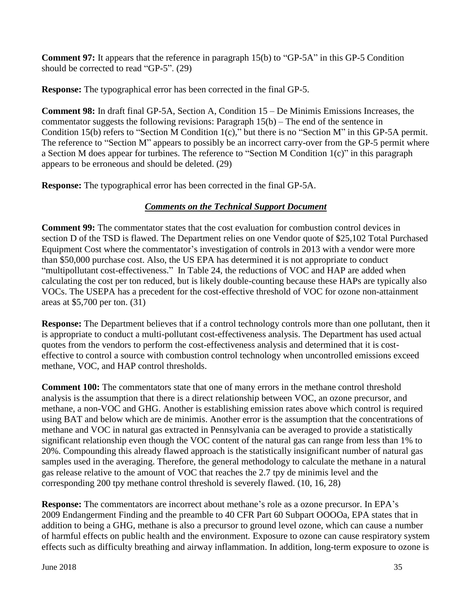**Comment 97:** It appears that the reference in paragraph 15(b) to "GP-5A" in this GP-5 Condition should be corrected to read "GP-5". (29)

**Response:** The typographical error has been corrected in the final GP-5.

**Comment 98:** In draft final GP-5A, Section A, Condition 15 – De Minimis Emissions Increases, the commentator suggests the following revisions: Paragraph 15(b) – The end of the sentence in Condition 15(b) refers to "Section M Condition 1(c)," but there is no "Section M" in this GP-5A permit. The reference to "Section M" appears to possibly be an incorrect carry-over from the GP-5 permit where a Section M does appear for turbines. The reference to "Section M Condition 1(c)" in this paragraph appears to be erroneous and should be deleted. (29)

**Response:** The typographical error has been corrected in the final GP-5A.

# *Comments on the Technical Support Document*

**Comment 99:** The commentator states that the cost evaluation for combustion control devices in section D of the TSD is flawed. The Department relies on one Vendor quote of \$25,102 Total Purchased Equipment Cost where the commentator's investigation of controls in 2013 with a vendor were more than \$50,000 purchase cost. Also, the US EPA has determined it is not appropriate to conduct "multipollutant cost-effectiveness." In Table 24, the reductions of VOC and HAP are added when calculating the cost per ton reduced, but is likely double-counting because these HAPs are typically also VOCs. The USEPA has a precedent for the cost-effective threshold of VOC for ozone non-attainment areas at \$5,700 per ton. (31)

**Response:** The Department believes that if a control technology controls more than one pollutant, then it is appropriate to conduct a multi-pollutant cost-effectiveness analysis. The Department has used actual quotes from the vendors to perform the cost-effectiveness analysis and determined that it is costeffective to control a source with combustion control technology when uncontrolled emissions exceed methane, VOC, and HAP control thresholds.

**Comment 100:** The commentators state that one of many errors in the methane control threshold analysis is the assumption that there is a direct relationship between VOC, an ozone precursor, and methane, a non-VOC and GHG. Another is establishing emission rates above which control is required using BAT and below which are de minimis. Another error is the assumption that the concentrations of methane and VOC in natural gas extracted in Pennsylvania can be averaged to provide a statistically significant relationship even though the VOC content of the natural gas can range from less than 1% to 20%. Compounding this already flawed approach is the statistically insignificant number of natural gas samples used in the averaging. Therefore, the general methodology to calculate the methane in a natural gas release relative to the amount of VOC that reaches the 2.7 tpy de minimis level and the corresponding 200 tpy methane control threshold is severely flawed. (10, 16, 28)

**Response:** The commentators are incorrect about methane's role as a ozone precursor. In EPA's 2009 Endangerment Finding and the preamble to 40 CFR Part 60 Subpart OOOOa, EPA states that in addition to being a GHG, methane is also a precursor to ground level ozone, which can cause a number of harmful effects on public health and the environment*.* Exposure to ozone can cause respiratory system effects such as difficulty breathing and airway inflammation. In addition, long-term exposure to ozone is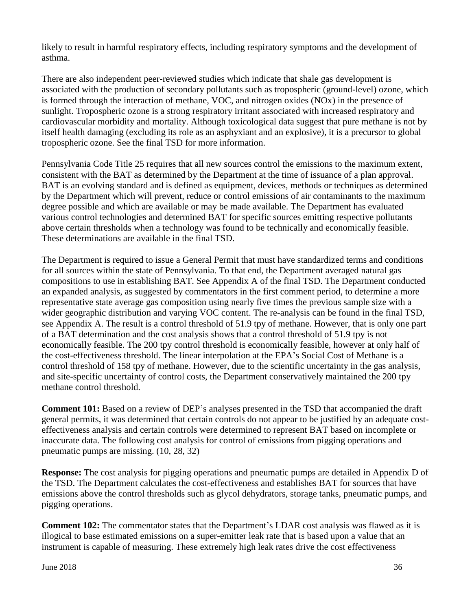likely to result in harmful respiratory effects, including respiratory symptoms and the development of asthma.

There are also independent peer-reviewed studies which indicate that shale gas development is associated with the production of secondary pollutants such as tropospheric (ground-level) ozone, which is formed through the interaction of methane, VOC, and nitrogen oxides (NOx) in the presence of sunlight. Tropospheric ozone is a strong respiratory irritant associated with increased respiratory and cardiovascular morbidity and mortality. Although toxicological data suggest that pure methane is not by itself health damaging (excluding its role as an asphyxiant and an explosive), it is a precursor to global tropospheric ozone. See the final TSD for more information.

Pennsylvania Code Title 25 requires that all new sources control the emissions to the maximum extent, consistent with the BAT as determined by the Department at the time of issuance of a plan approval. BAT is an evolving standard and is defined as equipment, devices, methods or techniques as determined by the Department which will prevent, reduce or control emissions of air contaminants to the maximum degree possible and which are available or may be made available. The Department has evaluated various control technologies and determined BAT for specific sources emitting respective pollutants above certain thresholds when a technology was found to be technically and economically feasible. These determinations are available in the final TSD.

The Department is required to issue a General Permit that must have standardized terms and conditions for all sources within the state of Pennsylvania. To that end, the Department averaged natural gas compositions to use in establishing BAT. See Appendix A of the final TSD. The Department conducted an expanded analysis, as suggested by commentators in the first comment period, to determine a more representative state average gas composition using nearly five times the previous sample size with a wider geographic distribution and varying VOC content. The re-analysis can be found in the final TSD, see Appendix A. The result is a control threshold of 51.9 tpy of methane. However, that is only one part of a BAT determination and the cost analysis shows that a control threshold of 51.9 tpy is not economically feasible. The 200 tpy control threshold is economically feasible, however at only half of the cost-effectiveness threshold. The linear interpolation at the EPA's Social Cost of Methane is a control threshold of 158 tpy of methane. However, due to the scientific uncertainty in the gas analysis, and site-specific uncertainty of control costs, the Department conservatively maintained the 200 tpy methane control threshold.

**Comment 101:** Based on a review of DEP's analyses presented in the TSD that accompanied the draft general permits, it was determined that certain controls do not appear to be justified by an adequate costeffectiveness analysis and certain controls were determined to represent BAT based on incomplete or inaccurate data. The following cost analysis for control of emissions from pigging operations and pneumatic pumps are missing. (10, 28, 32)

**Response:** The cost analysis for pigging operations and pneumatic pumps are detailed in Appendix D of the TSD. The Department calculates the cost-effectiveness and establishes BAT for sources that have emissions above the control thresholds such as glycol dehydrators, storage tanks, pneumatic pumps, and pigging operations.

**Comment 102:** The commentator states that the Department's LDAR cost analysis was flawed as it is illogical to base estimated emissions on a super-emitter leak rate that is based upon a value that an instrument is capable of measuring. These extremely high leak rates drive the cost effectiveness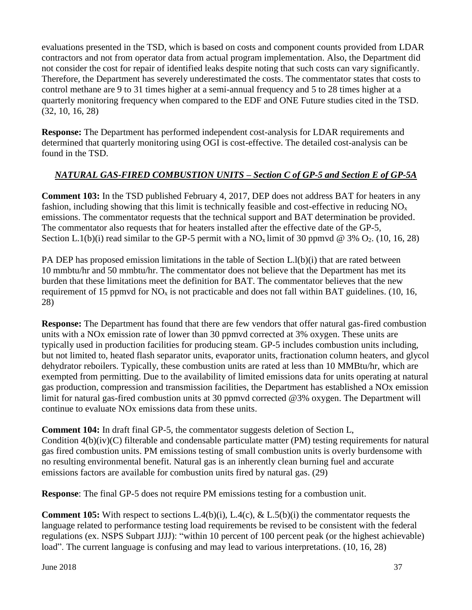evaluations presented in the TSD, which is based on costs and component counts provided from LDAR contractors and not from operator data from actual program implementation. Also, the Department did not consider the cost for repair of identified leaks despite noting that such costs can vary significantly. Therefore, the Department has severely underestimated the costs. The commentator states that costs to control methane are 9 to 31 times higher at a semi-annual frequency and 5 to 28 times higher at a quarterly monitoring frequency when compared to the EDF and ONE Future studies cited in the TSD. (32, 10, 16, 28)

**Response:** The Department has performed independent cost-analysis for LDAR requirements and determined that quarterly monitoring using OGI is cost-effective. The detailed cost-analysis can be found in the TSD.

# *NATURAL GAS-FIRED COMBUSTION UNITS – Section C of GP-5 and Section E of GP-5A*

**Comment 103:** In the TSD published February 4, 2017, DEP does not address BAT for heaters in any fashion, including showing that this limit is technically feasible and cost-effective in reducing  $NO<sub>x</sub>$ emissions. The commentator requests that the technical support and BAT determination be provided. The commentator also requests that for heaters installed after the effective date of the GP-5, Section L.1(b)(i) read similar to the GP-5 permit with a  $NO_x$  limit of 30 ppmvd @ 3%  $O_2$ . (10, 16, 28)

PA DEP has proposed emission limitations in the table of Section L.1(b)(i) that are rated between 10 mmbtu/hr and 50 mmbtu/hr. The commentator does not believe that the Department has met its burden that these limitations meet the definition for BAT. The commentator believes that the new requirement of 15 ppmvd for  $NO<sub>x</sub>$  is not practicable and does not fall within BAT guidelines. (10, 16, 28)

**Response:** The Department has found that there are few vendors that offer natural gas-fired combustion units with a NOx emission rate of lower than 30 ppmvd corrected at 3% oxygen. These units are typically used in production facilities for producing steam. GP-5 includes combustion units including, but not limited to, heated flash separator units, evaporator units, fractionation column heaters, and glycol dehydrator reboilers. Typically, these combustion units are rated at less than 10 MMBtu/hr, which are exempted from permitting. Due to the availability of limited emissions data for units operating at natural gas production, compression and transmission facilities, the Department has established a NOx emission limit for natural gas-fired combustion units at 30 ppmvd corrected @3% oxygen. The Department will continue to evaluate NOx emissions data from these units.

**Comment 104:** In draft final GP-5, the commentator suggests deletion of Section L, Condition 4(b)(iv)(C) filterable and condensable particulate matter (PM) testing requirements for natural gas fired combustion units. PM emissions testing of small combustion units is overly burdensome with no resulting environmental benefit. Natural gas is an inherently clean burning fuel and accurate emissions factors are available for combustion units fired by natural gas. (29)

**Response**: The final GP-5 does not require PM emissions testing for a combustion unit.

**Comment 105:** With respect to sections L.4(b)(i), L.4(c), & L.5(b)(i) the commentator requests the language related to performance testing load requirements be revised to be consistent with the federal regulations (ex. NSPS Subpart JJJJ): "within 10 percent of 100 percent peak (or the highest achievable) load". The current language is confusing and may lead to various interpretations. (10, 16, 28)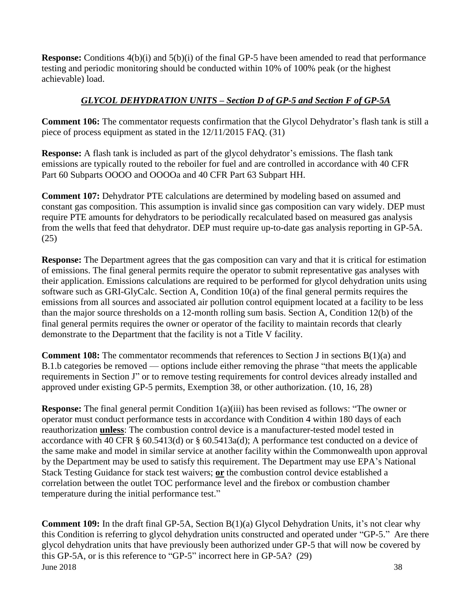**Response:** Conditions 4(b)(i) and 5(b)(i) of the final GP-5 have been amended to read that performance testing and periodic monitoring should be conducted within 10% of 100% peak (or the highest achievable) load.

## *GLYCOL DEHYDRATION UNITS – Section D of GP-5 and Section F of GP-5A*

**Comment 106:** The commentator requests confirmation that the Glycol Dehydrator's flash tank is still a piece of process equipment as stated in the 12/11/2015 FAQ. (31)

**Response:** A flash tank is included as part of the glycol dehydrator's emissions. The flash tank emissions are typically routed to the reboiler for fuel and are controlled in accordance with 40 CFR Part 60 Subparts OOOO and OOOOa and 40 CFR Part 63 Subpart HH.

**Comment 107:** Dehydrator PTE calculations are determined by modeling based on assumed and constant gas composition. This assumption is invalid since gas composition can vary widely. DEP must require PTE amounts for dehydrators to be periodically recalculated based on measured gas analysis from the wells that feed that dehydrator. DEP must require up-to-date gas analysis reporting in GP-5A. (25)

**Response:** The Department agrees that the gas composition can vary and that it is critical for estimation of emissions. The final general permits require the operator to submit representative gas analyses with their application. Emissions calculations are required to be performed for glycol dehydration units using software such as GRI-GlyCalc. Section A, Condition 10(a) of the final general permits requires the emissions from all sources and associated air pollution control equipment located at a facility to be less than the major source thresholds on a 12-month rolling sum basis. Section A, Condition 12(b) of the final general permits requires the owner or operator of the facility to maintain records that clearly demonstrate to the Department that the facility is not a Title V facility.

**Comment 108:** The commentator recommends that references to Section J in sections B(1)(a) and B.1.b categories be removed — options include either removing the phrase "that meets the applicable requirements in Section J" or to remove testing requirements for control devices already installed and approved under existing GP-5 permits, Exemption 38, or other authorization. (10, 16, 28)

**Response:** The final general permit Condition 1(a)(iii) has been revised as follows: "The owner or operator must conduct performance tests in accordance with Condition 4 within 180 days of each reauthorization **unless**: The combustion control device is a manufacturer-tested model tested in accordance with 40 CFR § 60.5413(d) or § 60.5413a(d); A performance test conducted on a device of the same make and model in similar service at another facility within the Commonwealth upon approval by the Department may be used to satisfy this requirement. The Department may use EPA's National Stack Testing Guidance for stack test waivers; **or** the combustion control device established a correlation between the outlet TOC performance level and the firebox or combustion chamber temperature during the initial performance test."

 $June 2018$  38 **Comment 109:** In the draft final GP-5A, Section B(1)(a) Glycol Dehydration Units, it's not clear why this Condition is referring to glycol dehydration units constructed and operated under "GP-5." Are there glycol dehydration units that have previously been authorized under GP-5 that will now be covered by this GP-5A, or is this reference to "GP-5" incorrect here in GP-5A? (29)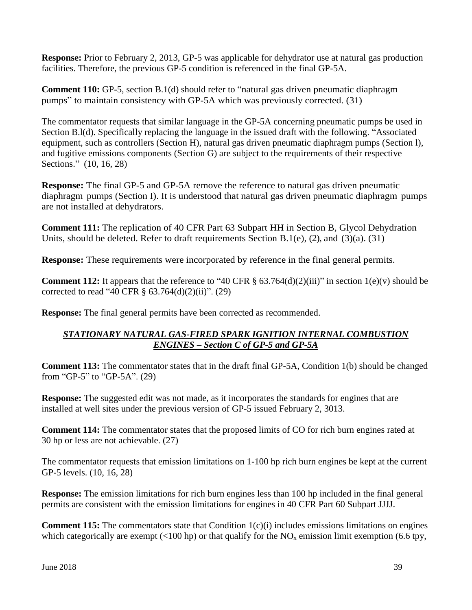**Response:** Prior to February 2, 2013, GP-5 was applicable for dehydrator use at natural gas production facilities. Therefore, the previous GP-5 condition is referenced in the final GP-5A.

**Comment 110:** GP-5, section B.1(d) should refer to "natural gas driven pneumatic diaphragm pumps" to maintain consistency with GP-5A which was previously corrected. (31)

The commentator requests that similar language in the GP-5A concerning pneumatic pumps be used in Section B.l(d). Specifically replacing the language in the issued draft with the following. "Associated equipment, such as controllers (Section H), natural gas driven pneumatic diaphragm pumps (Section l), and fugitive emissions components (Section G) are subject to the requirements of their respective Sections." (10, 16, 28)

**Response:** The final GP-5 and GP-5A remove the reference to natural gas driven pneumatic diaphragm pumps (Section I). It is understood that natural gas driven pneumatic diaphragm pumps are not installed at dehydrators.

**Comment 111:** The replication of 40 CFR Part 63 Subpart HH in Section B, Glycol Dehydration Units, should be deleted. Refer to draft requirements Section B.1(e), (2), and (3)(a). (31)

**Response:** These requirements were incorporated by reference in the final general permits.

**Comment 112:** It appears that the reference to "40 CFR § 63.764(d)(2)(iii)" in section 1(e)(v) should be corrected to read "40 CFR  $\S$  63.764(d)(2)(ii)". (29)

**Response:** The final general permits have been corrected as recommended.

## *STATIONARY NATURAL GAS-FIRED SPARK IGNITION INTERNAL COMBUSTION ENGINES – Section C of GP-5 and GP-5A*

**Comment 113:** The commentator states that in the draft final GP-5A, Condition 1(b) should be changed from "GP-5" to "GP-5A". (29)

**Response:** The suggested edit was not made, as it incorporates the standards for engines that are installed at well sites under the previous version of GP-5 issued February 2, 3013.

**Comment 114:** The commentator states that the proposed limits of CO for rich burn engines rated at 30 hp or less are not achievable. (27)

The commentator requests that emission limitations on 1-100 hp rich burn engines be kept at the current GP-5 levels. (10, 16, 28)

**Response:** The emission limitations for rich burn engines less than 100 hp included in the final general permits are consistent with the emission limitations for engines in 40 CFR Part 60 Subpart JJJJ.

**Comment 115:** The commentators state that Condition 1(c)(i) includes emissions limitations on engines which categorically are exempt (<100 hp) or that qualify for the  $NO<sub>x</sub>$  emission limit exemption (6.6 tpy,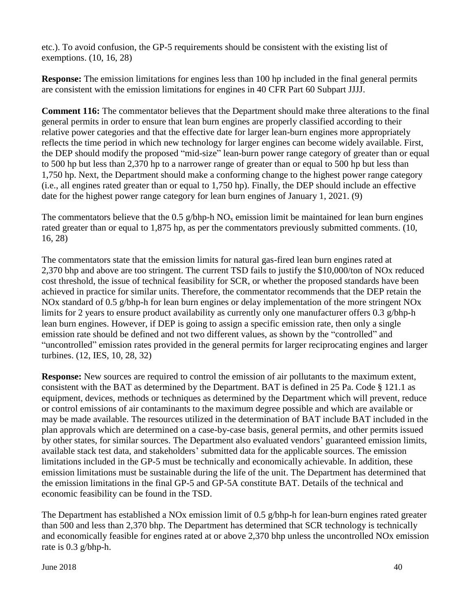etc.). To avoid confusion, the GP-5 requirements should be consistent with the existing list of exemptions. (10, 16, 28)

**Response:** The emission limitations for engines less than 100 hp included in the final general permits are consistent with the emission limitations for engines in 40 CFR Part 60 Subpart JJJJ.

**Comment 116:** The commentator believes that the Department should make three alterations to the final general permits in order to ensure that lean burn engines are properly classified according to their relative power categories and that the effective date for larger lean-burn engines more appropriately reflects the time period in which new technology for larger engines can become widely available. First, the DEP should modify the proposed "mid-size" lean-burn power range category of greater than or equal to 500 hp but less than 2,370 hp to a narrower range of greater than or equal to 500 hp but less than 1,750 hp. Next, the Department should make a conforming change to the highest power range category (i.e., all engines rated greater than or equal to 1,750 hp). Finally, the DEP should include an effective date for the highest power range category for lean burn engines of January 1, 2021. (9)

The commentators believe that the 0.5  $g/b$ hp-h NO<sub>x</sub> emission limit be maintained for lean burn engines rated greater than or equal to 1,875 hp, as per the commentators previously submitted comments. (10, 16, 28)

The commentators state that the emission limits for natural gas-fired lean burn engines rated at 2,370 bhp and above are too stringent. The current TSD fails to justify the \$10,000/ton of NOx reduced cost threshold, the issue of technical feasibility for SCR, or whether the proposed standards have been achieved in practice for similar units. Therefore, the commentator recommends that the DEP retain the NOx standard of 0.5 g/bhp-h for lean burn engines or delay implementation of the more stringent NOx limits for 2 years to ensure product availability as currently only one manufacturer offers 0.3 g/bhp-h lean burn engines. However, if DEP is going to assign a specific emission rate, then only a single emission rate should be defined and not two different values, as shown by the "controlled" and "uncontrolled" emission rates provided in the general permits for larger reciprocating engines and larger turbines. (12, IES, 10, 28, 32)

**Response:** New sources are required to control the emission of air pollutants to the maximum extent, consistent with the BAT as determined by the Department. BAT is defined in 25 Pa. Code § 121.1 as equipment, devices, methods or techniques as determined by the Department which will prevent, reduce or control emissions of air contaminants to the maximum degree possible and which are available or may be made available. The resources utilized in the determination of BAT include BAT included in the plan approvals which are determined on a case-by-case basis, general permits, and other permits issued by other states, for similar sources. The Department also evaluated vendors' guaranteed emission limits, available stack test data, and stakeholders' submitted data for the applicable sources. The emission limitations included in the GP-5 must be technically and economically achievable. In addition, these emission limitations must be sustainable during the life of the unit. The Department has determined that the emission limitations in the final GP-5 and GP-5A constitute BAT. Details of the technical and economic feasibility can be found in the TSD.

The Department has established a NOx emission limit of 0.5 g/bhp-h for lean-burn engines rated greater than 500 and less than 2,370 bhp. The Department has determined that SCR technology is technically and economically feasible for engines rated at or above 2,370 bhp unless the uncontrolled NOx emission rate is 0.3 g/bhp-h.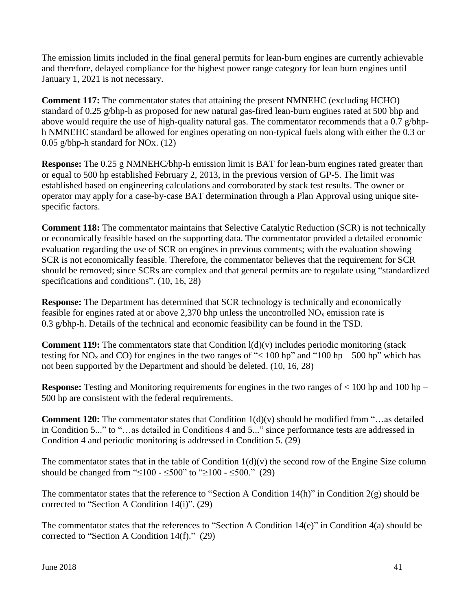The emission limits included in the final general permits for lean-burn engines are currently achievable and therefore, delayed compliance for the highest power range category for lean burn engines until January 1, 2021 is not necessary.

**Comment 117:** The commentator states that attaining the present NMNEHC (excluding HCHO) standard of 0.25 g/bhp-h as proposed for new natural gas-fired lean-burn engines rated at 500 bhp and above would require the use of high-quality natural gas. The commentator recommends that a 0.7 g/bhph NMNEHC standard be allowed for engines operating on non-typical fuels along with either the 0.3 or 0.05 g/bhp-h standard for NOx. (12)

**Response:** The 0.25 g NMNEHC/bhp-h emission limit is BAT for lean-burn engines rated greater than or equal to 500 hp established February 2, 2013, in the previous version of GP-5. The limit was established based on engineering calculations and corroborated by stack test results. The owner or operator may apply for a case-by-case BAT determination through a Plan Approval using unique sitespecific factors.

**Comment 118:** The commentator maintains that Selective Catalytic Reduction (SCR) is not technically or economically feasible based on the supporting data. The commentator provided a detailed economic evaluation regarding the use of SCR on engines in previous comments; with the evaluation showing SCR is not economically feasible. Therefore, the commentator believes that the requirement for SCR should be removed; since SCRs are complex and that general permits are to regulate using "standardized specifications and conditions". (10, 16, 28)

**Response:** The Department has determined that SCR technology is technically and economically feasible for engines rated at or above 2,370 bhp unless the uncontrolled  $NO<sub>x</sub>$  emission rate is 0.3 g/bhp-h. Details of the technical and economic feasibility can be found in the TSD.

**Comment 119:** The commentators state that Condition  $\text{I}(d)(v)$  includes periodic monitoring (stack testing for  $NO<sub>x</sub>$  and CO) for engines in the two ranges of "< 100 hp" and "100 hp – 500 hp" which has not been supported by the Department and should be deleted. (10, 16, 28)

**Response:** Testing and Monitoring requirements for engines in the two ranges of  $\lt 100$  hp and 100 hp – 500 hp are consistent with the federal requirements.

**Comment 120:** The commentator states that Condition 1(d)(v) should be modified from "…as detailed in Condition 5..." to "…as detailed in Conditions 4 and 5..." since performance tests are addressed in Condition 4 and periodic monitoring is addressed in Condition 5. (29)

The commentator states that in the table of Condition  $1(d)(v)$  the second row of the Engine Size column should be changed from " $\leq 100 - 500$ " to " $\geq 100 - 500$ ." (29)

The commentator states that the reference to "Section A Condition 14(h)" in Condition 2(g) should be corrected to "Section A Condition 14(i)". (29)

The commentator states that the references to "Section A Condition 14(e)" in Condition 4(a) should be corrected to "Section A Condition 14(f)." (29)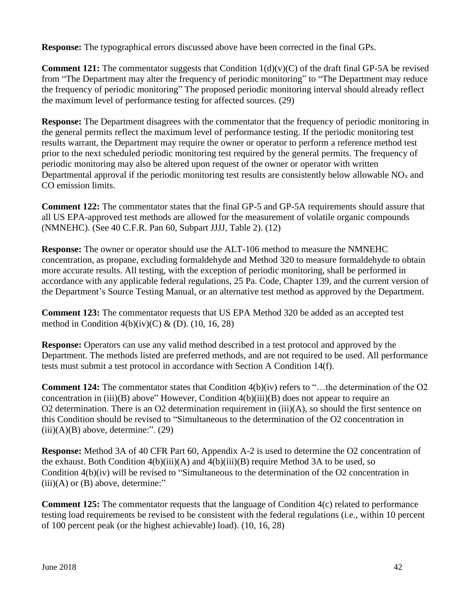**Response:** The typographical errors discussed above have been corrected in the final GPs.

**Comment 121:** The commentator suggests that Condition  $1(d)(v)(C)$  of the draft final GP-5A be revised from "The Department may alter the frequency of periodic monitoring" to "The Department may reduce the frequency of periodic monitoring" The proposed periodic monitoring interval should already reflect the maximum level of performance testing for affected sources. (29)

**Response:** The Department disagrees with the commentator that the frequency of periodic monitoring in the general permits reflect the maximum level of performance testing. If the periodic monitoring test results warrant, the Department may require the owner or operator to perform a reference method test prior to the next scheduled periodic monitoring test required by the general permits. The frequency of periodic monitoring may also be altered upon request of the owner or operator with written Departmental approval if the periodic monitoring test results are consistently below allowable  $NO<sub>x</sub>$  and CO emission limits.

**Comment 122:** The commentator states that the final GP-5 and GP-5A requirements should assure that all US EPA-approved test methods are allowed for the measurement of volatile organic compounds (NMNEHC). (See 40 C.F.R. Pan 60, Subpart JJJJ, Table 2). (12)

**Response:** The owner or operator should use the ALT-106 method to measure the NMNEHC concentration, as propane, excluding formaldehyde and Method 320 to measure formaldehyde to obtain more accurate results. All testing, with the exception of periodic monitoring, shall be performed in accordance with any applicable federal regulations, 25 Pa. Code, Chapter 139, and the current version of the Department's Source Testing Manual, or an alternative test method as approved by the Department.

**Comment 123:** The commentator requests that US EPA Method 320 be added as an accepted test method in Condition  $4(b)(iv)(C) \& (D)$ . (10, 16, 28)

**Response:** Operators can use any valid method described in a test protocol and approved by the Department. The methods listed are preferred methods, and are not required to be used. All performance tests must submit a test protocol in accordance with Section A Condition 14(f).

**Comment 124:** The commentator states that Condition 4(b)(iv) refers to "…the determination of the O2 concentration in (iii)(B) above" However, Condition 4(b)(iii)(B) does not appear to require an O2 determination. There is an O2 determination requirement in (iii)(A), so should the first sentence on this Condition should be revised to "Simultaneous to the determination of the O2 concentration in  $(iii)(A)(B)$  above, determine:". (29)

**Response:** Method 3A of 40 CFR Part 60, Appendix A-2 is used to determine the O2 concentration of the exhaust. Both Condition  $4(b)(iii)(A)$  and  $4(b)(iii)(B)$  require Method 3A to be used, so Condition 4(b)(iv) will be revised to "Simultaneous to the determination of the O2 concentration in  $(iii)(A)$  or  $(B)$  above, determine:"

**Comment 125:** The commentator requests that the language of Condition 4(c) related to performance testing load requirements be revised to be consistent with the federal regulations (i.e., within 10 percent of 100 percent peak (or the highest achievable) load). (10, 16, 28)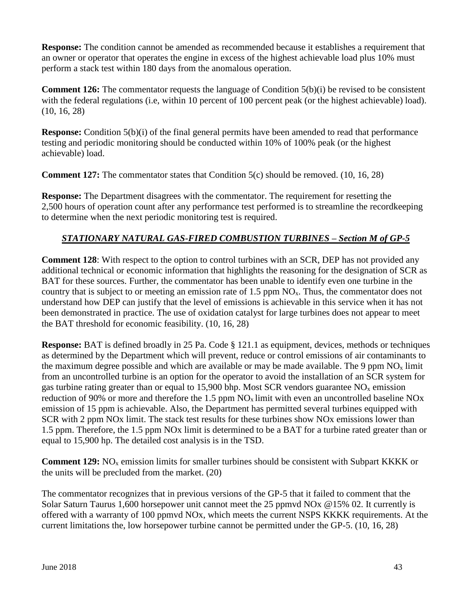**Response:** The condition cannot be amended as recommended because it establishes a requirement that an owner or operator that operates the engine in excess of the highest achievable load plus 10% must perform a stack test within 180 days from the anomalous operation.

**Comment 126:** The commentator requests the language of Condition 5(b)(i) be revised to be consistent with the federal regulations (i.e, within 10 percent of 100 percent peak (or the highest achievable) load). (10, 16, 28)

**Response:** Condition 5(b)(i) of the final general permits have been amended to read that performance testing and periodic monitoring should be conducted within 10% of 100% peak (or the highest achievable) load.

**Comment 127:** The commentator states that Condition 5(c) should be removed. (10, 16, 28)

**Response:** The Department disagrees with the commentator. The requirement for resetting the 2,500 hours of operation count after any performance test performed is to streamline the recordkeeping to determine when the next periodic monitoring test is required.

# *STATIONARY NATURAL GAS-FIRED COMBUSTION TURBINES – Section M of GP-5*

**Comment 128**: With respect to the option to control turbines with an SCR, DEP has not provided any additional technical or economic information that highlights the reasoning for the designation of SCR as BAT for these sources. Further, the commentator has been unable to identify even one turbine in the country that is subject to or meeting an emission rate of 1.5 ppm  $NO<sub>x</sub>$ . Thus, the commentator does not understand how DEP can justify that the level of emissions is achievable in this service when it has not been demonstrated in practice. The use of oxidation catalyst for large turbines does not appear to meet the BAT threshold for economic feasibility. (10, 16, 28)

**Response:** BAT is defined broadly in 25 Pa. Code § 121.1 as equipment, devices, methods or techniques as determined by the Department which will prevent, reduce or control emissions of air contaminants to the maximum degree possible and which are available or may be made available. The 9 ppm  $NO<sub>x</sub>$  limit from an uncontrolled turbine is an option for the operator to avoid the installation of an SCR system for gas turbine rating greater than or equal to 15,900 bhp. Most SCR vendors guarantee  $NO<sub>x</sub>$  emission reduction of 90% or more and therefore the 1.5 ppm  $NO_x$  limit with even an uncontrolled baseline NOx emission of 15 ppm is achievable. Also, the Department has permitted several turbines equipped with SCR with 2 ppm NOx limit. The stack test results for these turbines show NOx emissions lower than 1.5 ppm. Therefore, the 1.5 ppm NOx limit is determined to be a BAT for a turbine rated greater than or equal to 15,900 hp. The detailed cost analysis is in the TSD.

**Comment 129:** NO<sub>x</sub> emission limits for smaller turbines should be consistent with Subpart KKKK or the units will be precluded from the market. (20)

The commentator recognizes that in previous versions of the GP-5 that it failed to comment that the Solar Saturn Taurus 1,600 horsepower unit cannot meet the 25 ppmvd NOx @15% 02. It currently is offered with a warranty of 100 ppmvd NOx, which meets the current NSPS KKKK requirements. At the current limitations the, low horsepower turbine cannot be permitted under the GP-5. (10, 16, 28)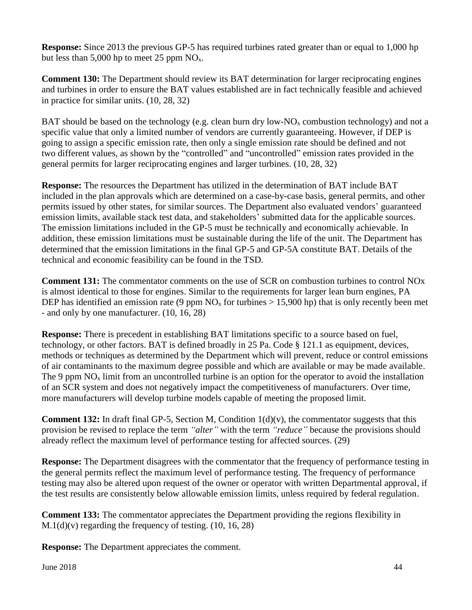**Response:** Since 2013 the previous GP-5 has required turbines rated greater than or equal to 1,000 hp but less than 5,000 hp to meet 25 ppm  $NO<sub>x</sub>$ .

**Comment 130:** The Department should review its BAT determination for larger reciprocating engines and turbines in order to ensure the BAT values established are in fact technically feasible and achieved in practice for similar units. (10, 28, 32)

BAT should be based on the technology (e.g. clean burn dry low-NO<sub>x</sub> combustion technology) and not a specific value that only a limited number of vendors are currently guaranteeing. However, if DEP is going to assign a specific emission rate, then only a single emission rate should be defined and not two different values, as shown by the "controlled" and "uncontrolled" emission rates provided in the general permits for larger reciprocating engines and larger turbines. (10, 28, 32)

**Response:** The resources the Department has utilized in the determination of BAT include BAT included in the plan approvals which are determined on a case-by-case basis, general permits, and other permits issued by other states, for similar sources. The Department also evaluated vendors' guaranteed emission limits, available stack test data, and stakeholders' submitted data for the applicable sources. The emission limitations included in the GP-5 must be technically and economically achievable. In addition, these emission limitations must be sustainable during the life of the unit. The Department has determined that the emission limitations in the final GP-5 and GP-5A constitute BAT. Details of the technical and economic feasibility can be found in the TSD.

**Comment 131:** The commentator comments on the use of SCR on combustion turbines to control NOx is almost identical to those for engines. Similar to the requirements for larger lean burn engines, PA DEP has identified an emission rate (9 ppm  $NO<sub>x</sub>$  for turbines  $> 15,900$  hp) that is only recently been met - and only by one manufacturer. (10, 16, 28)

**Response:** There is precedent in establishing BAT limitations specific to a source based on fuel, technology, or other factors. BAT is defined broadly in 25 Pa. Code § 121.1 as equipment, devices, methods or techniques as determined by the Department which will prevent, reduce or control emissions of air contaminants to the maximum degree possible and which are available or may be made available. The 9 ppm  $NO_x$  limit from an uncontrolled turbine is an option for the operator to avoid the installation of an SCR system and does not negatively impact the competitiveness of manufacturers. Over time, more manufacturers will develop turbine models capable of meeting the proposed limit.

**Comment 132:** In draft final GP-5, Section M, Condition 1(d)(v), the commentator suggests that this provision be revised to replace the term *"alter"* with the term *"reduce"* because the provisions should already reflect the maximum level of performance testing for affected sources. (29)

**Response:** The Department disagrees with the commentator that the frequency of performance testing in the general permits reflect the maximum level of performance testing. The frequency of performance testing may also be altered upon request of the owner or operator with written Departmental approval, if the test results are consistently below allowable emission limits, unless required by federal regulation.

**Comment 133:** The commentator appreciates the Department providing the regions flexibility in  $M.1(d)(v)$  regarding the frequency of testing. (10, 16, 28)

**Response:** The Department appreciates the comment.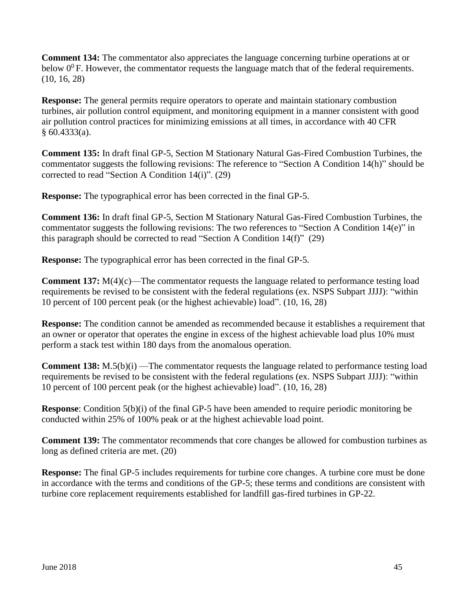**Comment 134:** The commentator also appreciates the language concerning turbine operations at or below  $0^0$  F. However, the commentator requests the language match that of the federal requirements. (10, 16, 28)

**Response:** The general permits require operators to operate and maintain stationary combustion turbines, air pollution control equipment, and monitoring equipment in a manner consistent with good air pollution control practices for minimizing emissions at all times, in accordance with 40 CFR  $§ 60.4333(a).$ 

**Comment 135:** In draft final GP-5, Section M Stationary Natural Gas-Fired Combustion Turbines, the commentator suggests the following revisions: The reference to "Section A Condition 14(h)" should be corrected to read "Section A Condition 14(i)". (29)

**Response:** The typographical error has been corrected in the final GP-5.

**Comment 136:** In draft final GP-5, Section M Stationary Natural Gas-Fired Combustion Turbines, the commentator suggests the following revisions: The two references to "Section A Condition 14(e)" in this paragraph should be corrected to read "Section A Condition 14(f)" (29)

**Response:** The typographical error has been corrected in the final GP-5.

**Comment 137:**  $M(4)(c)$ —The commentator requests the language related to performance testing load requirements be revised to be consistent with the federal regulations (ex. NSPS Subpart JJJJ): "within 10 percent of 100 percent peak (or the highest achievable) load". (10, 16, 28)

**Response:** The condition cannot be amended as recommended because it establishes a requirement that an owner or operator that operates the engine in excess of the highest achievable load plus 10% must perform a stack test within 180 days from the anomalous operation.

**Comment 138:** M.5(b)(i) —The commentator requests the language related to performance testing load requirements be revised to be consistent with the federal regulations (ex. NSPS Subpart JJJJ): "within 10 percent of 100 percent peak (or the highest achievable) load". (10, 16, 28)

**Response:** Condition 5(b)(i) of the final GP-5 have been amended to require periodic monitoring be conducted within 25% of 100% peak or at the highest achievable load point.

**Comment 139:** The commentator recommends that core changes be allowed for combustion turbines as long as defined criteria are met. (20)

**Response:** The final GP-5 includes requirements for turbine core changes. A turbine core must be done in accordance with the terms and conditions of the GP-5; these terms and conditions are consistent with turbine core replacement requirements established for landfill gas-fired turbines in GP-22.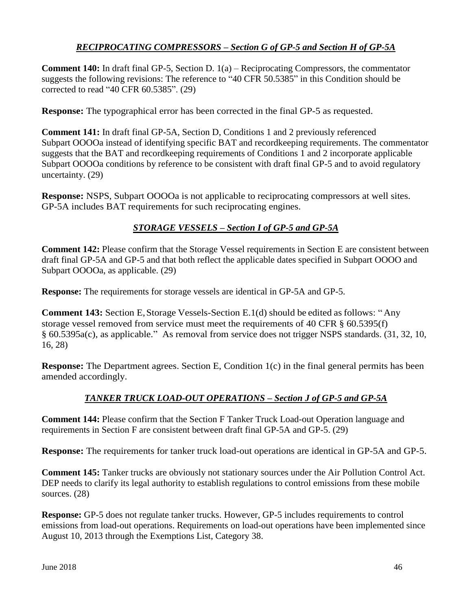# *RECIPROCATING COMPRESSORS – Section G of GP-5 and Section H of GP-5A*

**Comment 140:** In draft final GP-5, Section D. 1(a) – Reciprocating Compressors, the commentator suggests the following revisions: The reference to "40 CFR 50.5385" in this Condition should be corrected to read "40 CFR 60.5385". (29)

**Response:** The typographical error has been corrected in the final GP-5 as requested.

**Comment 141:** In draft final GP-5A, Section D, Conditions 1 and 2 previously referenced Subpart OOOOa instead of identifying specific BAT and recordkeeping requirements. The commentator suggests that the BAT and recordkeeping requirements of Conditions 1 and 2 incorporate applicable Subpart OOOOa conditions by reference to be consistent with draft final GP-5 and to avoid regulatory uncertainty. (29)

**Response:** NSPS, Subpart OOOOa is not applicable to reciprocating compressors at well sites. GP-5A includes BAT requirements for such reciprocating engines.

# *STORAGE VESSELS – Section I of GP-5 and GP-5A*

**Comment 142:** Please confirm that the Storage Vessel requirements in Section E are consistent between draft final GP-5A and GP-5 and that both reflect the applicable dates specified in Subpart OOOO and Subpart OOOOa, as applicable. (29)

**Response:** The requirements for storage vessels are identical in GP-5A and GP-5.

**Comment 143:** Section E, Storage Vessels-Section E.1(d) should be edited as follows: "Any storage vessel removed from service must meet the requirements of 40 CFR § 60.5395(f) § 60.5395a(c), as applicable." As removal from service does not trigger NSPS standards. (31, 32, 10, 16, 28)

**Response:** The Department agrees. Section E, Condition 1(c) in the final general permits has been amended accordingly.

# *TANKER TRUCK LOAD-OUT OPERATIONS – Section J of GP-5 and GP-5A*

**Comment 144:** Please confirm that the Section F Tanker Truck Load-out Operation language and requirements in Section F are consistent between draft final GP-5A and GP-5. (29)

**Response:** The requirements for tanker truck load-out operations are identical in GP-5A and GP-5.

**Comment 145:** Tanker trucks are obviously not stationary sources under the Air Pollution Control Act. DEP needs to clarify its legal authority to establish regulations to control emissions from these mobile sources. (28)

**Response:** GP-5 does not regulate tanker trucks. However, GP-5 includes requirements to control emissions from load-out operations. Requirements on load-out operations have been implemented since August 10, 2013 through the Exemptions List, Category 38.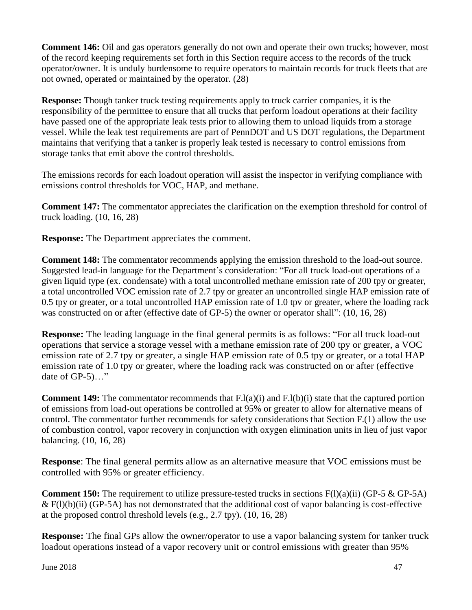**Comment 146:** Oil and gas operators generally do not own and operate their own trucks; however, most of the record keeping requirements set forth in this Section require access to the records of the truck operator/owner. It is unduly burdensome to require operators to maintain records for truck fleets that are not owned, operated or maintained by the operator. (28)

**Response:** Though tanker truck testing requirements apply to truck carrier companies, it is the responsibility of the permittee to ensure that all trucks that perform loadout operations at their facility have passed one of the appropriate leak tests prior to allowing them to unload liquids from a storage vessel. While the leak test requirements are part of PennDOT and US DOT regulations, the Department maintains that verifying that a tanker is properly leak tested is necessary to control emissions from storage tanks that emit above the control thresholds.

The emissions records for each loadout operation will assist the inspector in verifying compliance with emissions control thresholds for VOC, HAP, and methane.

**Comment 147:** The commentator appreciates the clarification on the exemption threshold for control of truck loading. (10, 16, 28)

**Response:** The Department appreciates the comment.

**Comment 148:** The commentator recommends applying the emission threshold to the load-out source. Suggested lead-in language for the Department's consideration: "For all truck load-out operations of a given liquid type (ex. condensate) with a total uncontrolled methane emission rate of 200 tpy or greater, a total uncontrolled VOC emission rate of 2.7 tpy or greater an uncontrolled single HAP emission rate of 0.5 tpy or greater, or a total uncontrolled HAP emission rate of 1.0 tpv or greater, where the loading rack was constructed on or after (effective date of GP-5) the owner or operator shall": (10, 16, 28)

**Response:** The leading language in the final general permits is as follows: "For all truck load-out operations that service a storage vessel with a methane emission rate of 200 tpy or greater, a VOC emission rate of 2.7 tpy or greater, a single HAP emission rate of 0.5 tpy or greater, or a total HAP emission rate of 1.0 tpy or greater, where the loading rack was constructed on or after (effective date of GP-5)…"

**Comment 149:** The commentator recommends that F.l(a)(i) and F.l(b)(i) state that the captured portion of emissions from load-out operations be controlled at 95% or greater to allow for alternative means of control. The commentator further recommends for safety considerations that Section F.(1) allow the use of combustion control, vapor recovery in conjunction with oxygen elimination units in lieu of just vapor balancing. (10, 16, 28)

**Response**: The final general permits allow as an alternative measure that VOC emissions must be controlled with 95% or greater efficiency.

**Comment 150:** The requirement to utilize pressure-tested trucks in sections  $F(1)(a)(ii)$  (GP-5 & GP-5A)  $\&$  F(l)(b)(ii) (GP-5A) has not demonstrated that the additional cost of vapor balancing is cost-effective at the proposed control threshold levels (e.g., 2.7 tpy). (10, 16, 28)

**Response:** The final GPs allow the owner/operator to use a vapor balancing system for tanker truck loadout operations instead of a vapor recovery unit or control emissions with greater than 95%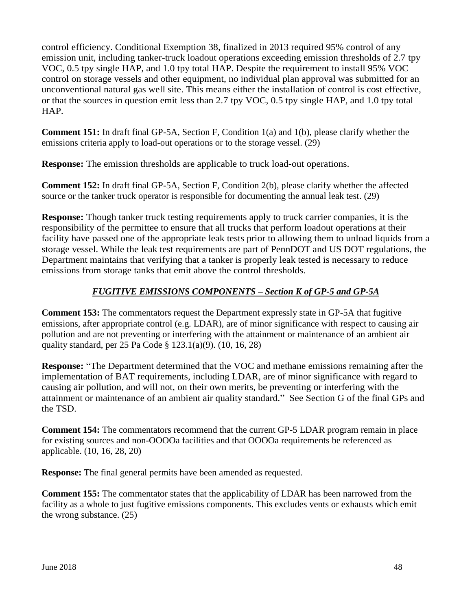control efficiency. Conditional Exemption 38, finalized in 2013 required 95% control of any emission unit, including tanker-truck loadout operations exceeding emission thresholds of 2.7 tpy VOC, 0.5 tpy single HAP, and 1.0 tpy total HAP. Despite the requirement to install 95% VOC control on storage vessels and other equipment, no individual plan approval was submitted for an unconventional natural gas well site. This means either the installation of control is cost effective, or that the sources in question emit less than 2.7 tpy VOC, 0.5 tpy single HAP, and 1.0 tpy total HAP.

**Comment 151:** In draft final GP-5A, Section F, Condition 1(a) and 1(b), please clarify whether the emissions criteria apply to load-out operations or to the storage vessel. (29)

**Response:** The emission thresholds are applicable to truck load-out operations.

**Comment 152:** In draft final GP-5A, Section F, Condition 2(b), please clarify whether the affected source or the tanker truck operator is responsible for documenting the annual leak test. (29)

**Response:** Though tanker truck testing requirements apply to truck carrier companies, it is the responsibility of the permittee to ensure that all trucks that perform loadout operations at their facility have passed one of the appropriate leak tests prior to allowing them to unload liquids from a storage vessel. While the leak test requirements are part of PennDOT and US DOT regulations, the Department maintains that verifying that a tanker is properly leak tested is necessary to reduce emissions from storage tanks that emit above the control thresholds.

# *FUGITIVE EMISSIONS COMPONENTS – Section K of GP-5 and GP-5A*

**Comment 153:** The commentators request the Department expressly state in GP-5A that fugitive emissions, after appropriate control (e.g. LDAR), are of minor significance with respect to causing air pollution and are not preventing or interfering with the attainment or maintenance of an ambient air quality standard, per 25 Pa Code § 123.1(a)(9). (10, 16, 28)

**Response:** "The Department determined that the VOC and methane emissions remaining after the implementation of BAT requirements, including LDAR, are of minor significance with regard to causing air pollution, and will not, on their own merits, be preventing or interfering with the attainment or maintenance of an ambient air quality standard." See Section G of the final GPs and the TSD.

**Comment 154:** The commentators recommend that the current GP-5 LDAR program remain in place for existing sources and non-OOOOa facilities and that OOOOa requirements be referenced as applicable. (10, 16, 28, 20)

**Response:** The final general permits have been amended as requested.

**Comment 155:** The commentator states that the applicability of LDAR has been narrowed from the facility as a whole to just fugitive emissions components. This excludes vents or exhausts which emit the wrong substance. (25)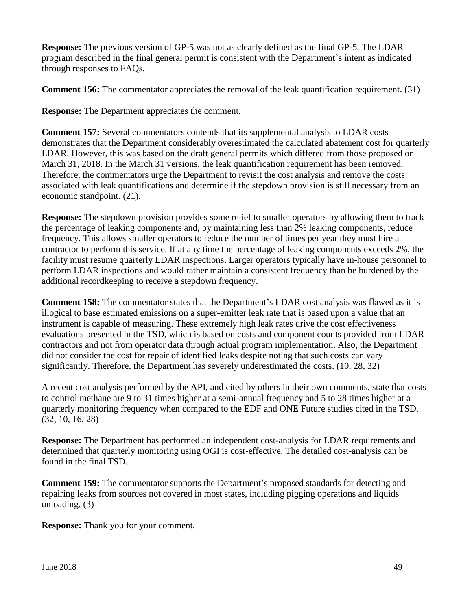**Response:** The previous version of GP-5 was not as clearly defined as the final GP-5. The LDAR program described in the final general permit is consistent with the Department's intent as indicated through responses to FAQs.

**Comment 156:** The commentator appreciates the removal of the leak quantification requirement. (31)

**Response:** The Department appreciates the comment.

**Comment 157:** Several commentators contends that its supplemental analysis to LDAR costs demonstrates that the Department considerably overestimated the calculated abatement cost for quarterly LDAR. However, this was based on the draft general permits which differed from those proposed on March 31, 2018. In the March 31 versions, the leak quantification requirement has been removed. Therefore, the commentators urge the Department to revisit the cost analysis and remove the costs associated with leak quantifications and determine if the stepdown provision is still necessary from an economic standpoint. (21).

**Response:** The stepdown provision provides some relief to smaller operators by allowing them to track the percentage of leaking components and, by maintaining less than 2% leaking components, reduce frequency. This allows smaller operators to reduce the number of times per year they must hire a contractor to perform this service. If at any time the percentage of leaking components exceeds 2%, the facility must resume quarterly LDAR inspections. Larger operators typically have in-house personnel to perform LDAR inspections and would rather maintain a consistent frequency than be burdened by the additional recordkeeping to receive a stepdown frequency.

**Comment 158:** The commentator states that the Department's LDAR cost analysis was flawed as it is illogical to base estimated emissions on a super-emitter leak rate that is based upon a value that an instrument is capable of measuring. These extremely high leak rates drive the cost effectiveness evaluations presented in the TSD, which is based on costs and component counts provided from LDAR contractors and not from operator data through actual program implementation. Also, the Department did not consider the cost for repair of identified leaks despite noting that such costs can vary significantly. Therefore, the Department has severely underestimated the costs. (10, 28, 32)

A recent cost analysis performed by the API, and cited by others in their own comments, state that costs to control methane are 9 to 31 times higher at a semi-annual frequency and 5 to 28 times higher at a quarterly monitoring frequency when compared to the EDF and ONE Future studies cited in the TSD. (32, 10, 16, 28)

**Response:** The Department has performed an independent cost-analysis for LDAR requirements and determined that quarterly monitoring using OGI is cost-effective. The detailed cost-analysis can be found in the final TSD.

**Comment 159:** The commentator supports the Department's proposed standards for detecting and repairing leaks from sources not covered in most states, including pigging operations and liquids unloading. (3)

**Response:** Thank you for your comment.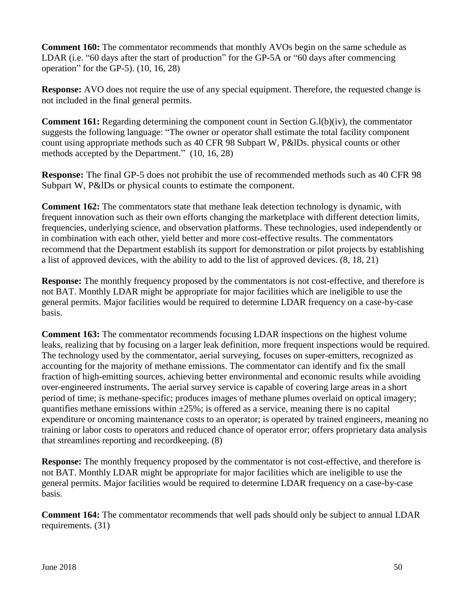**Comment 160:** The commentator recommends that monthly AVOs begin on the same schedule as LDAR (i.e. "60 days after the start of production" for the GP-5A or "60 days after commencing operation" for the GP-5). (10, 16, 28)

**Response:** AVO does not require the use of any special equipment. Therefore, the requested change is not included in the final general permits.

**Comment 161:** Regarding determining the component count in Section G.l(b)(iv), the commentator suggests the following language: "The owner or operator shall estimate the total facility component count using appropriate methods such as 40 CFR 98 Subpart W, P&lDs. physical counts or other methods accepted by the Department." (10, 16, 28)

**Response:** The final GP-5 does not prohibit the use of recommended methods such as 40 CFR 98 Subpart W, P&lDs or physical counts to estimate the component.

**Comment 162:** The commentators state that methane leak detection technology is dynamic, with frequent innovation such as their own efforts changing the marketplace with different detection limits, frequencies, underlying science, and observation platforms. These technologies, used independently or in combination with each other, yield better and more cost-effective results. The commentators recommend that the Department establish its support for demonstration or pilot projects by establishing a list of approved devices, with the ability to add to the list of approved devices. (8, 18, 21)

**Response:** The monthly frequency proposed by the commentators is not cost-effective, and therefore is not BAT. Monthly LDAR might be appropriate for major facilities which are ineligible to use the general permits. Major facilities would be required to determine LDAR frequency on a case-by-case basis.

**Comment 163:** The commentator recommends focusing LDAR inspections on the highest volume leaks, realizing that by focusing on a larger leak definition, more frequent inspections would be required. The technology used by the commentator, aerial surveying, focuses on super-emitters, recognized as accounting for the majority of methane emissions. The commentator can identify and fix the small fraction of high-emitting sources, achieving better environmental and economic results while avoiding over-engineered instruments. The aerial survey service is capable of covering large areas in a short period of time; is methane-specific; produces images of methane plumes overlaid on optical imagery; quantifies methane emissions within  $\pm 25\%$ ; is offered as a service, meaning there is no capital expenditure or oncoming maintenance costs to an operator; is operated by trained engineers, meaning no training or labor costs to operators and reduced chance of operator error; offers proprietary data analysis that streamlines reporting and recordkeeping. (8)

**Response:** The monthly frequency proposed by the commentator is not cost-effective, and therefore is not BAT. Monthly LDAR might be appropriate for major facilities which are ineligible to use the general permits. Major facilities would be required to determine LDAR frequency on a case-by-case basis.

**Comment 164:** The commentator recommends that well pads should only be subject to annual LDAR requirements. (31)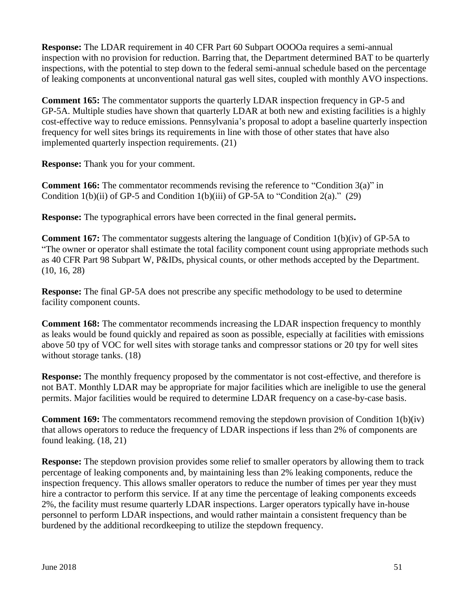**Response:** The LDAR requirement in 40 CFR Part 60 Subpart OOOOa requires a semi-annual inspection with no provision for reduction. Barring that, the Department determined BAT to be quarterly inspections, with the potential to step down to the federal semi-annual schedule based on the percentage of leaking components at unconventional natural gas well sites, coupled with monthly AVO inspections.

**Comment 165:** The commentator supports the quarterly LDAR inspection frequency in GP-5 and GP-5A. Multiple studies have shown that quarterly LDAR at both new and existing facilities is a highly cost-effective way to reduce emissions. Pennsylvania's proposal to adopt a baseline quarterly inspection frequency for well sites brings its requirements in line with those of other states that have also implemented quarterly inspection requirements. (21)

**Response:** Thank you for your comment.

**Comment 166:** The commentator recommends revising the reference to "Condition 3(a)" in Condition  $1(b)(ii)$  of GP-5 and Condition  $1(b)(iii)$  of GP-5A to "Condition  $2(a)$ ." (29)

**Response:** The typographical errors have been corrected in the final general permits**.**

**Comment 167:** The commentator suggests altering the language of Condition 1(b)(iv) of GP-5A to "The owner or operator shall estimate the total facility component count using appropriate methods such as 40 CFR Part 98 Subpart W, P&IDs, physical counts, or other methods accepted by the Department. (10, 16, 28)

**Response:** The final GP-5A does not prescribe any specific methodology to be used to determine facility component counts.

**Comment 168:** The commentator recommends increasing the LDAR inspection frequency to monthly as leaks would be found quickly and repaired as soon as possible, especially at facilities with emissions above 50 tpy of VOC for well sites with storage tanks and compressor stations or 20 tpy for well sites without storage tanks. (18)

**Response:** The monthly frequency proposed by the commentator is not cost-effective, and therefore is not BAT. Monthly LDAR may be appropriate for major facilities which are ineligible to use the general permits. Major facilities would be required to determine LDAR frequency on a case-by-case basis.

**Comment 169:** The commentators recommend removing the stepdown provision of Condition 1(b)(iv) that allows operators to reduce the frequency of LDAR inspections if less than 2% of components are found leaking. (18, 21)

**Response:** The stepdown provision provides some relief to smaller operators by allowing them to track percentage of leaking components and, by maintaining less than 2% leaking components, reduce the inspection frequency. This allows smaller operators to reduce the number of times per year they must hire a contractor to perform this service. If at any time the percentage of leaking components exceeds 2%, the facility must resume quarterly LDAR inspections. Larger operators typically have in-house personnel to perform LDAR inspections, and would rather maintain a consistent frequency than be burdened by the additional recordkeeping to utilize the stepdown frequency.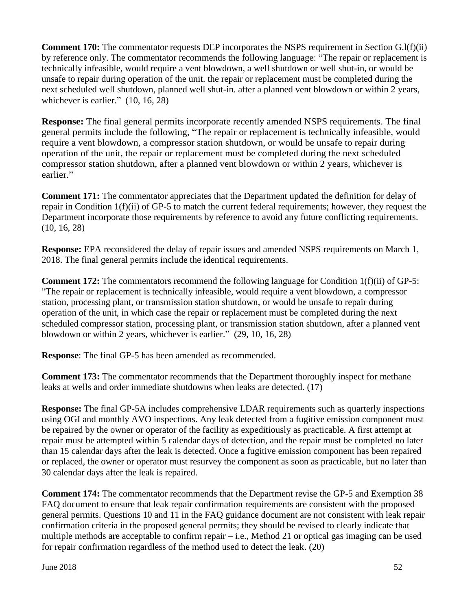**Comment 170:** The commentator requests DEP incorporates the NSPS requirement in Section G.l(f)(ii) by reference only. The commentator recommends the following language: "The repair or replacement is technically infeasible, would require a vent blowdown, a well shutdown or well shut-in, or would be unsafe to repair during operation of the unit. the repair or replacement must be completed during the next scheduled well shutdown, planned well shut-in. after a planned vent blowdown or within 2 years, whichever is earlier."  $(10, 16, 28)$ 

**Response:** The final general permits incorporate recently amended NSPS requirements. The final general permits include the following, "The repair or replacement is technically infeasible, would require a vent blowdown, a compressor station shutdown, or would be unsafe to repair during operation of the unit, the repair or replacement must be completed during the next scheduled compressor station shutdown, after a planned vent blowdown or within 2 years, whichever is earlier."

**Comment 171:** The commentator appreciates that the Department updated the definition for delay of repair in Condition 1(f)(ii) of GP-5 to match the current federal requirements; however, they request the Department incorporate those requirements by reference to avoid any future conflicting requirements. (10, 16, 28)

**Response:** EPA reconsidered the delay of repair issues and amended NSPS requirements on March 1, 2018. The final general permits include the identical requirements.

**Comment 172:** The commentators recommend the following language for Condition 1(f)(ii) of GP-5: "The repair or replacement is technically infeasible, would require a vent blowdown, a compressor station, processing plant, or transmission station shutdown, or would be unsafe to repair during operation of the unit, in which case the repair or replacement must be completed during the next scheduled compressor station, processing plant, or transmission station shutdown, after a planned vent blowdown or within 2 years, whichever is earlier." (29, 10, 16, 28)

**Response**: The final GP-5 has been amended as recommended.

**Comment 173:** The commentator recommends that the Department thoroughly inspect for methane leaks at wells and order immediate shutdowns when leaks are detected. (17)

**Response:** The final GP-5A includes comprehensive LDAR requirements such as quarterly inspections using OGI and monthly AVO inspections. Any leak detected from a fugitive emission component must be repaired by the owner or operator of the facility as expeditiously as practicable. A first attempt at repair must be attempted within 5 calendar days of detection, and the repair must be completed no later than 15 calendar days after the leak is detected. Once a fugitive emission component has been repaired or replaced, the owner or operator must resurvey the component as soon as practicable, but no later than 30 calendar days after the leak is repaired.

**Comment 174:** The commentator recommends that the Department revise the GP-5 and Exemption 38 FAQ document to ensure that leak repair confirmation requirements are consistent with the proposed general permits. Questions 10 and 11 in the FAQ guidance document are not consistent with leak repair confirmation criteria in the proposed general permits; they should be revised to clearly indicate that multiple methods are acceptable to confirm repair – i.e., Method 21 or optical gas imaging can be used for repair confirmation regardless of the method used to detect the leak. (20)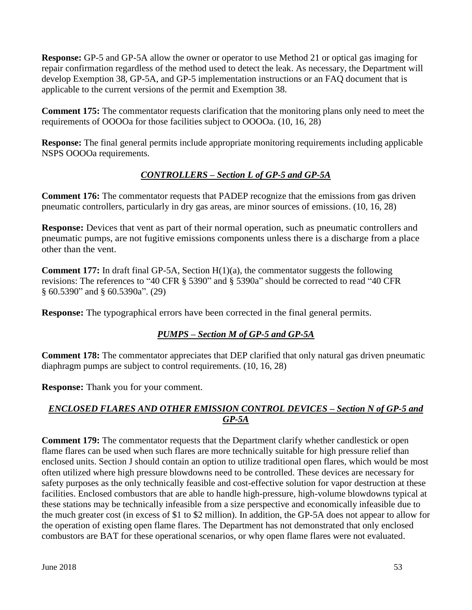**Response:** GP-5 and GP-5A allow the owner or operator to use Method 21 or optical gas imaging for repair confirmation regardless of the method used to detect the leak. As necessary, the Department will develop Exemption 38, GP-5A, and GP-5 implementation instructions or an FAQ document that is applicable to the current versions of the permit and Exemption 38.

**Comment 175:** The commentator requests clarification that the monitoring plans only need to meet the requirements of OOOOa for those facilities subject to OOOOa. (10, 16, 28)

**Response:** The final general permits include appropriate monitoring requirements including applicable NSPS OOOOa requirements.

# *CONTROLLERS – Section L of GP-5 and GP-5A*

**Comment 176:** The commentator requests that PADEP recognize that the emissions from gas driven pneumatic controllers, particularly in dry gas areas, are minor sources of emissions. (10, 16, 28)

**Response:** Devices that vent as part of their normal operation, such as pneumatic controllers and pneumatic pumps, are not fugitive emissions components unless there is a discharge from a place other than the vent.

**Comment 177:** In draft final GP-5A, Section H(1)(a), the commentator suggests the following revisions: The references to "40 CFR § 5390" and § 5390a" should be corrected to read "40 CFR § 60.5390" and § 60.5390a". (29)

**Response:** The typographical errors have been corrected in the final general permits.

# *PUMPS – Section M of GP-5 and GP-5A*

**Comment 178:** The commentator appreciates that DEP clarified that only natural gas driven pneumatic diaphragm pumps are subject to control requirements. (10, 16, 28)

**Response:** Thank you for your comment.

# *ENCLOSED FLARES AND OTHER EMISSION CONTROL DEVICES – Section N of GP-5 and GP-5A*

**Comment 179:** The commentator requests that the Department clarify whether candlestick or open flame flares can be used when such flares are more technically suitable for high pressure relief than enclosed units. Section J should contain an option to utilize traditional open flares, which would be most often utilized where high pressure blowdowns need to be controlled. These devices are necessary for safety purposes as the only technically feasible and cost-effective solution for vapor destruction at these facilities. Enclosed combustors that are able to handle high-pressure, high-volume blowdowns typical at these stations may be technically infeasible from a size perspective and economically infeasible due to the much greater cost (in excess of \$1 to \$2 million). In addition, the GP-5A does not appear to allow for the operation of existing open flame flares. The Department has not demonstrated that only enclosed combustors are BAT for these operational scenarios, or why open flame flares were not evaluated.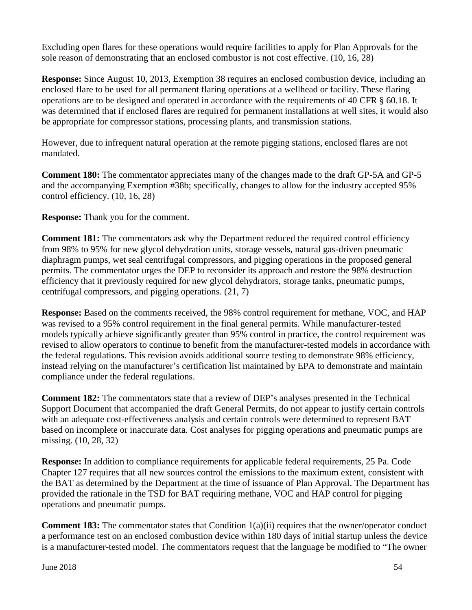Excluding open flares for these operations would require facilities to apply for Plan Approvals for the sole reason of demonstrating that an enclosed combustor is not cost effective. (10, 16, 28)

**Response:** Since August 10, 2013, Exemption 38 requires an enclosed combustion device, including an enclosed flare to be used for all permanent flaring operations at a wellhead or facility. These flaring operations are to be designed and operated in accordance with the requirements of 40 CFR § 60.18. It was determined that if enclosed flares are required for permanent installations at well sites, it would also be appropriate for compressor stations, processing plants, and transmission stations.

However, due to infrequent natural operation at the remote pigging stations, enclosed flares are not mandated.

**Comment 180:** The commentator appreciates many of the changes made to the draft GP-5A and GP-5 and the accompanying Exemption #38b; specifically, changes to allow for the industry accepted 95% control efficiency. (10, 16, 28)

**Response:** Thank you for the comment.

**Comment 181:** The commentators ask why the Department reduced the required control efficiency from 98% to 95% for new glycol dehydration units, storage vessels, natural gas-driven pneumatic diaphragm pumps, wet seal centrifugal compressors, and pigging operations in the proposed general permits. The commentator urges the DEP to reconsider its approach and restore the 98% destruction efficiency that it previously required for new glycol dehydrators, storage tanks, pneumatic pumps, centrifugal compressors, and pigging operations. (21, 7)

**Response:** Based on the comments received, the 98% control requirement for methane, VOC, and HAP was revised to a 95% control requirement in the final general permits. While manufacturer-tested models typically achieve significantly greater than 95% control in practice, the control requirement was revised to allow operators to continue to benefit from the manufacturer-tested models in accordance with the federal regulations. This revision avoids additional source testing to demonstrate 98% efficiency, instead relying on the manufacturer's certification list maintained by EPA to demonstrate and maintain compliance under the federal regulations.

**Comment 182:** The commentators state that a review of DEP's analyses presented in the Technical Support Document that accompanied the draft General Permits, do not appear to justify certain controls with an adequate cost-effectiveness analysis and certain controls were determined to represent BAT based on incomplete or inaccurate data. Cost analyses for pigging operations and pneumatic pumps are missing. (10, 28, 32)

**Response:** In addition to compliance requirements for applicable federal requirements, 25 Pa. Code Chapter 127 requires that all new sources control the emissions to the maximum extent, consistent with the BAT as determined by the Department at the time of issuance of Plan Approval. The Department has provided the rationale in the TSD for BAT requiring methane, VOC and HAP control for pigging operations and pneumatic pumps.

**Comment 183:** The commentator states that Condition 1(a)(ii) requires that the owner/operator conduct a performance test on an enclosed combustion device within 180 days of initial startup unless the device is a manufacturer-tested model. The commentators request that the language be modified to "The owner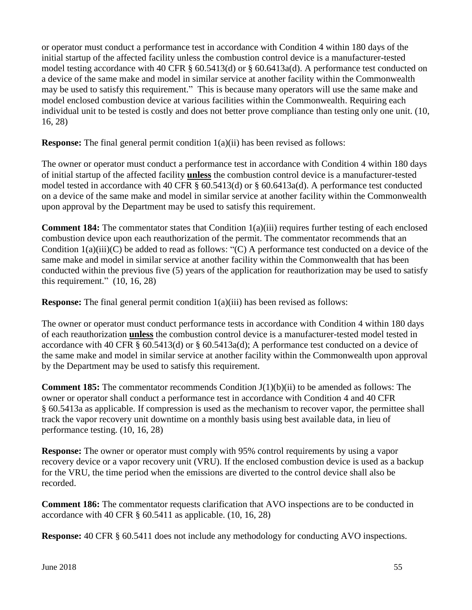or operator must conduct a performance test in accordance with Condition 4 within 180 days of the initial startup of the affected facility unless the combustion control device is a manufacturer-tested model testing accordance with 40 CFR § 60.5413(d) or § 60.6413a(d). A performance test conducted on a device of the same make and model in similar service at another facility within the Commonwealth may be used to satisfy this requirement." This is because many operators will use the same make and model enclosed combustion device at various facilities within the Commonwealth. Requiring each individual unit to be tested is costly and does not better prove compliance than testing only one unit. (10, 16, 28)

**Response:** The final general permit condition  $1(a)(ii)$  has been revised as follows:

The owner or operator must conduct a performance test in accordance with Condition 4 within 180 days of initial startup of the affected facility **unless** the combustion control device is a manufacturer-tested model tested in accordance with 40 CFR § 60.5413(d) or § 60.6413a(d). A performance test conducted on a device of the same make and model in similar service at another facility within the Commonwealth upon approval by the Department may be used to satisfy this requirement.

**Comment 184:** The commentator states that Condition 1(a)(iii) requires further testing of each enclosed combustion device upon each reauthorization of the permit. The commentator recommends that an Condition  $1(a)(iii)(C)$  be added to read as follows: "(C) A performance test conducted on a device of the same make and model in similar service at another facility within the Commonwealth that has been conducted within the previous five (5) years of the application for reauthorization may be used to satisfy this requirement."  $(10, 16, 28)$ 

**Response:** The final general permit condition  $1(a)(iii)$  has been revised as follows:

The owner or operator must conduct performance tests in accordance with Condition 4 within 180 days of each reauthorization **unless** the combustion control device is a manufacturer-tested model tested in accordance with 40 CFR  $\S$  60.5413(d) or  $\S$  60.5413a(d); A performance test conducted on a device of the same make and model in similar service at another facility within the Commonwealth upon approval by the Department may be used to satisfy this requirement.

**Comment 185:** The commentator recommends Condition J(1)(b)(ii) to be amended as follows: The owner or operator shall conduct a performance test in accordance with Condition 4 and 40 CFR § 60.5413a as applicable. If compression is used as the mechanism to recover vapor, the permittee shall track the vapor recovery unit downtime on a monthly basis using best available data, in lieu of performance testing. (10, 16, 28)

**Response:** The owner or operator must comply with 95% control requirements by using a vapor recovery device or a vapor recovery unit (VRU). If the enclosed combustion device is used as a backup for the VRU, the time period when the emissions are diverted to the control device shall also be recorded.

**Comment 186:** The commentator requests clarification that AVO inspections are to be conducted in accordance with 40 CFR  $\S$  60.5411 as applicable. (10, 16, 28)

**Response:** 40 CFR § 60.5411 does not include any methodology for conducting AVO inspections.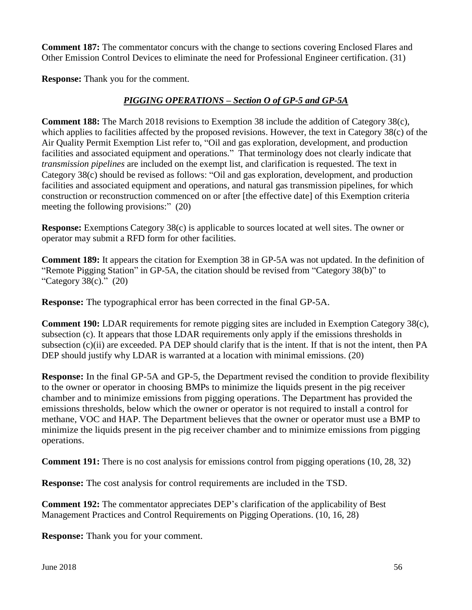**Comment 187:** The commentator concurs with the change to sections covering Enclosed Flares and Other Emission Control Devices to eliminate the need for Professional Engineer certification. (31)

**Response:** Thank you for the comment.

## *PIGGING OPERATIONS – Section O of GP-5 and GP-5A*

**Comment 188:** The March 2018 revisions to Exemption 38 include the addition of Category 38(c), which applies to facilities affected by the proposed revisions. However, the text in Category 38(c) of the Air Quality Permit Exemption List refer to, "Oil and gas exploration, development, and production facilities and associated equipment and operations." That terminology does not clearly indicate that *transmission pipelines* are included on the exempt list, and clarification is requested. The text in Category 38(c) should be revised as follows: "Oil and gas exploration, development, and production facilities and associated equipment and operations, and natural gas transmission pipelines, for which construction or reconstruction commenced on or after [the effective date] of this Exemption criteria meeting the following provisions:" (20)

**Response:** Exemptions Category 38(c) is applicable to sources located at well sites. The owner or operator may submit a RFD form for other facilities.

**Comment 189:** It appears the citation for Exemption 38 in GP-5A was not updated. In the definition of "Remote Pigging Station" in GP-5A, the citation should be revised from "Category 38(b)" to "Category 38(c)." (20)

**Response:** The typographical error has been corrected in the final GP-5A.

**Comment 190:** LDAR requirements for remote pigging sites are included in Exemption Category 38(c), subsection (c). It appears that those LDAR requirements only apply if the emissions thresholds in subsection (c)(ii) are exceeded. PA DEP should clarify that is the intent. If that is not the intent, then PA DEP should justify why LDAR is warranted at a location with minimal emissions. (20)

**Response:** In the final GP-5A and GP-5, the Department revised the condition to provide flexibility to the owner or operator in choosing BMPs to minimize the liquids present in the pig receiver chamber and to minimize emissions from pigging operations. The Department has provided the emissions thresholds, below which the owner or operator is not required to install a control for methane, VOC and HAP. The Department believes that the owner or operator must use a BMP to minimize the liquids present in the pig receiver chamber and to minimize emissions from pigging operations.

**Comment 191:** There is no cost analysis for emissions control from pigging operations (10, 28, 32)

**Response:** The cost analysis for control requirements are included in the TSD.

**Comment 192:** The commentator appreciates DEP's clarification of the applicability of Best Management Practices and Control Requirements on Pigging Operations. (10, 16, 28)

**Response:** Thank you for your comment.